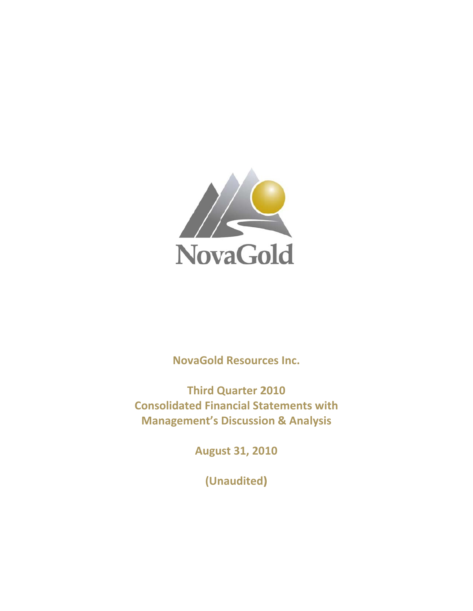

**NovaGold Resources Inc.** 

**Consolidated Financial Statements with Manag ement's Discussio on & Ana lysisThird Q Quarter 2 2010**

**Augu ust 31, 20 10**

**(Un naudited) )**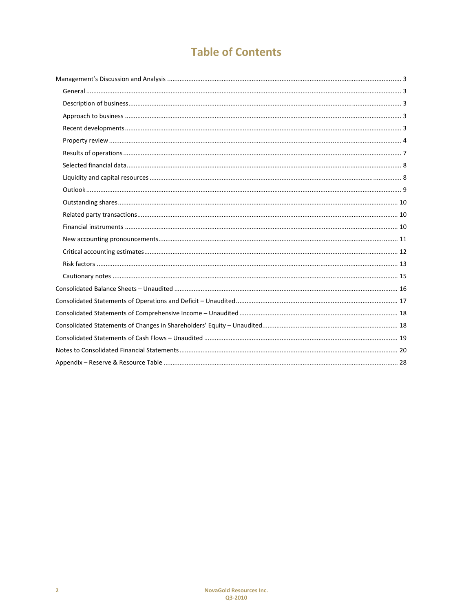# **Table of Contents**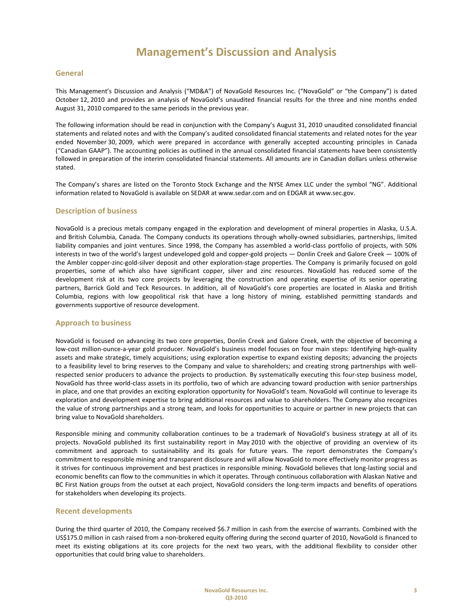### **General**

This Management's Discussion and Analysis ("MD&A") of NovaGold Resources Inc. ("NovaGold" or "the Company") is dated October 12, 2010 and provides an analysis of NovaGold's unaudited financial results for the three and nine months ended August 31, 2010 compared to the same periods in the previous year.

The following information should be read in conjunction with the Company's August 31, 2010 unaudited consolidated financial statements and related notes and with the Company's audited consolidated financial statements and related notes for the year ended November 30, 2009, which were prepared in accordance with generally accepted accounting principles in Canada ("Canadian GAAP"). The accounting policies as outlined in the annual consolidated financial statements have been consistently followed in preparation of the interim consolidated financial statements. All amounts are in Canadian dollars unless otherwise stated.

The Company's shares are listed on the Toronto Stock Exchange and the NYSE Amex LLC under the symbol "NG". Additional information related to NovaGold is available on SEDAR at www.sedar.com and on EDGAR at www.sec.gov.

### **Description of business**

NovaGold is a precious metals company engaged in the exploration and development of mineral properties in Alaska, U.S.A. and British Columbia, Canada. The Company conducts its operations through wholly-owned subsidiaries, partnerships, limited liability companies and joint ventures. Since 1998, the Company has assembled a world‐class portfolio of projects, with 50% interests in two of the world's largest undeveloped gold and copper-gold projects — Donlin Creek and Galore Creek — 100% of the Ambler copper-zinc-gold-silver deposit and other exploration-stage properties. The Company is primarily focused on gold properties, some of which also have significant copper, silver and zinc resources. NovaGold has reduced some of the development risk at its two core projects by leveraging the construction and operating expertise of its senior operating partners, Barrick Gold and Teck Resources. In addition, all of NovaGold's core properties are located in Alaska and British Columbia, regions with low geopolitical risk that have a long history of mining, established permitting standards and governments supportive of resource development.

#### **Approach to business**

NovaGold is focused on advancing its two core properties, Donlin Creek and Galore Creek, with the objective of becoming a low‐cost million‐ounce‐a‐year gold producer. NovaGold's business model focuses on four main steps: Identifying high‐quality assets and make strategic, timely acquisitions; using exploration expertise to expand existing deposits; advancing the projects to a feasibility level to bring reserves to the Company and value to shareholders; and creating strong partnerships with wellrespected senior producers to advance the projects to production. By systematically executing this four‐step business model, NovaGold has three world‐class assets in its portfolio, two of which are advancing toward production with senior partnerships in place, and one that provides an exciting exploration opportunity for NovaGold's team. NovaGold will continue to leverage its exploration and development expertise to bring additional resources and value to shareholders. The Company also recognizes the value of strong partnerships and a strong team, and looks for opportunities to acquire or partner in new projects that can bring value to NovaGold shareholders.

Responsible mining and community collaboration continues to be a trademark of NovaGold's business strategy at all of its projects. NovaGold published its first sustainability report in May 2010 with the objective of providing an overview of its commitment and approach to sustainability and its goals for future years. The report demonstrates the Company's commitment to responsible mining and transparent disclosure and will allow NovaGold to more effectively monitor progress as it strives for continuous improvement and best practices in responsible mining. NovaGold believes that long-lasting social and economic benefits can flow to the communities in which it operates. Through continuous collaboration with Alaskan Native and BC First Nation groups from the outset at each project, NovaGold considers the long-term impacts and benefits of operations for stakeholders when developing its projects.

#### **Recent developments**

During the third quarter of 2010, the Company received \$6.7 million in cash from the exercise of warrants. Combined with the US\$175.0 million in cash raised from a non‐brokered equity offering during the second quarter of 2010, NovaGold is financed to meet its existing obligations at its core projects for the next two years, with the additional flexibility to consider other opportunities that could bring value to shareholders.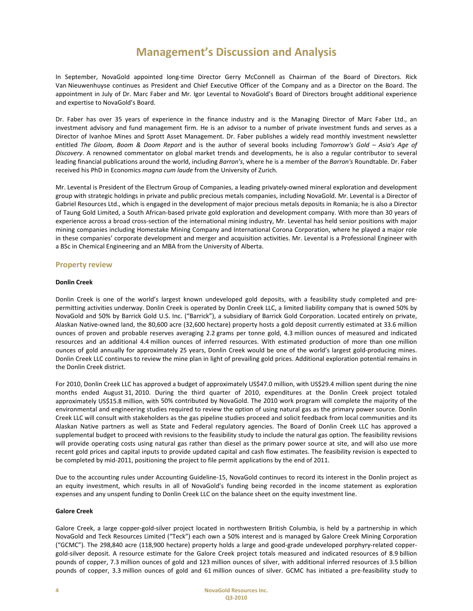In September, NovaGold appointed long-time Director Gerry McConnell as Chairman of the Board of Directors. Rick Van Nieuwenhuyse continues as President and Chief Executive Officer of the Company and as a Director on the Board. The appointment in July of Dr. Marc Faber and Mr. Igor Levental to NovaGold's Board of Directors brought additional experience and expertise to NovaGold's Board.

Dr. Faber has over 35 years of experience in the finance industry and is the Managing Director of Marc Faber Ltd., an investment advisory and fund management firm. He is an advisor to a number of private investment funds and serves as a Director of Ivanhoe Mines and Sprott Asset Management. Dr. Faber publishes a widely read monthly investment newsletter entitled *The Gloom, Boom & Doom Report* and is the author of several books including *Tomorrow's Gold – Asia's Age of Discovery*. A renowned commentator on global market trends and developments, he is also a regular contributor to several leading financial publications around the world, including *Barron's*, where he is a member of the *Barron's* Roundtable. Dr. Faber received his PhD in Economics *magna cum laude* from the University of Zurich.

Mr. Levental is President of the Electrum Group of Companies, a leading privately‐owned mineral exploration and development group with strategic holdings in private and public precious metals companies, including NovaGold. Mr. Levental is a Director of Gabriel Resources Ltd., which is engaged in the development of major precious metals deposits in Romania; he is also a Director of Taung Gold Limited, a South African‐based private gold exploration and development company. With more than 30 years of experience across a broad cross‐section of the international mining industry, Mr. Levental has held senior positions with major mining companies including Homestake Mining Company and International Corona Corporation, where he played a major role in these companies' corporate development and merger and acquisition activities. Mr. Levental is a Professional Engineer with a BSc in Chemical Engineering and an MBA from the University of Alberta.

## **Property review**

#### **Donlin Creek**

Donlin Creek is one of the world's largest known undeveloped gold deposits, with a feasibility study completed and pre‐ permitting activities underway. Donlin Creek is operated by Donlin Creek LLC, a limited liability company that is owned 50% by NovaGold and 50% by Barrick Gold U.S. Inc. ("Barrick"), a subsidiary of Barrick Gold Corporation. Located entirely on private, Alaskan Native‐owned land, the 80,600 acre (32,600 hectare) property hosts a gold deposit currently estimated at 33.6 million ounces of proven and probable reserves averaging 2.2 grams per tonne gold, 4.3 million ounces of measured and indicated resources and an additional 4.4 million ounces of inferred resources. With estimated production of more than one million ounces of gold annually for approximately 25 years, Donlin Creek would be one of the world's largest gold‐producing mines. Donlin Creek LLC continues to review the mine plan in light of prevailing gold prices. Additional exploration potential remains in the Donlin Creek district.

For 2010, Donlin Creek LLC has approved a budget of approximately US\$47.0 million, with US\$29.4 million spent during the nine months ended August 31, 2010. During the third quarter of 2010, expenditures at the Donlin Creek project totaled approximately US\$15.8 million, with 50% contributed by NovaGold. The 2010 work program will complete the majority of the environmental and engineering studies required to review the option of using natural gas as the primary power source. Donlin Creek LLC will consult with stakeholders as the gas pipeline studies proceed and solicit feedback from local communities and its Alaskan Native partners as well as State and Federal regulatory agencies. The Board of Donlin Creek LLC has approved a supplemental budget to proceed with revisions to the feasibility study to include the natural gas option. The feasibility revisions will provide operating costs using natural gas rather than diesel as the primary power source at site, and will also use more recent gold prices and capital inputs to provide updated capital and cash flow estimates. The feasibility revision is expected to be completed by mid-2011, positioning the project to file permit applications by the end of 2011.

Due to the accounting rules under Accounting Guideline‐15, NovaGold continues to record its interest in the Donlin project as an equity investment, which results in all of NovaGold's funding being recorded in the income statement as exploration expenses and any unspent funding to Donlin Creek LLC on the balance sheet on the equity investment line.

#### **Galore Creek**

Galore Creek, a large copper‐gold‐silver project located in northwestern British Columbia, is held by a partnership in which NovaGold and Teck Resources Limited ("Teck") each own a 50% interest and is managed by Galore Creek Mining Corporation ("GCMC"). The 298,840 acre (118,900 hectare) property holds a large and good‐grade undeveloped porphyry‐related copper‐ gold‐silver deposit. A resource estimate for the Galore Creek project totals measured and indicated resources of 8.9 billion pounds of copper, 7.3 million ounces of gold and 123 million ounces of silver, with additional inferred resources of 3.5 billion pounds of copper, 3.3 million ounces of gold and 61 million ounces of silver. GCMC has initiated a pre‐feasibility study to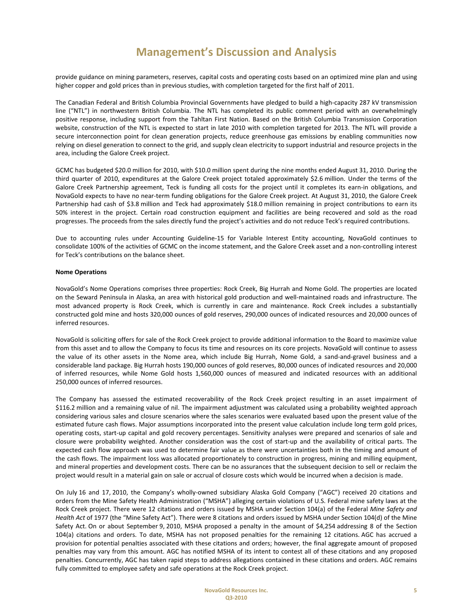provide guidance on mining parameters, reserves, capital costs and operating costs based on an optimized mine plan and using higher copper and gold prices than in previous studies, with completion targeted for the first half of 2011.

The Canadian Federal and British Columbia Provincial Governments have pledged to build a high‐capacity 287 kV transmission line ("NTL") in northwestern British Columbia. The NTL has completed its public comment period with an overwhelmingly positive response, including support from the Tahltan First Nation. Based on the British Columbia Transmission Corporation website, construction of the NTL is expected to start in late 2010 with completion targeted for 2013. The NTL will provide a secure interconnection point for clean generation projects, reduce greenhouse gas emissions by enabling communities now relying on diesel generation to connect to the grid, and supply clean electricity to support industrial and resource projects in the area, including the Galore Creek project.

GCMC has budgeted \$20.0 million for 2010, with \$10.0 million spent during the nine months ended August 31, 2010. During the third quarter of 2010, expenditures at the Galore Creek project totaled approximately \$2.6 million. Under the terms of the Galore Creek Partnership agreement, Teck is funding all costs for the project until it completes its earn-in obligations, and NovaGold expects to have no near‐term funding obligations for the Galore Creek project. At August 31, 2010, the Galore Creek Partnership had cash of \$3.8 million and Teck had approximately \$18.0 million remaining in project contributions to earn its 50% interest in the project. Certain road construction equipment and facilities are being recovered and sold as the road progresses. The proceeds from the sales directly fund the project's activities and do not reduce Teck's required contributions.

Due to accounting rules under Accounting Guideline-15 for Variable Interest Entity accounting, NovaGold continues to consolidate 100% of the activities of GCMC on the income statement, and the Galore Creek asset and a non-controlling interest for Teck's contributions on the balance sheet.

#### **Nome Operations**

NovaGold's Nome Operations comprises three properties: Rock Creek, Big Hurrah and Nome Gold. The properties are located on the Seward Peninsula in Alaska, an area with historical gold production and well-maintained roads and infrastructure. The most advanced property is Rock Creek, which is currently in care and maintenance. Rock Creek includes a substantially constructed gold mine and hosts 320,000 ounces of gold reserves, 290,000 ounces of indicated resources and 20,000 ounces of inferred resources.

NovaGold is soliciting offers for sale of the Rock Creek project to provide additional information to the Board to maximize value from this asset and to allow the Company to focus its time and resources on its core projects. NovaGold will continue to assess the value of its other assets in the Nome area, which include Big Hurrah, Nome Gold, a sand-and-gravel business and a considerable land package. Big Hurrah hosts 190,000 ounces of gold reserves, 80,000 ounces of indicated resources and 20,000 of inferred resources, while Nome Gold hosts 1,560,000 ounces of measured and indicated resources with an additional 250,000 ounces of inferred resources.

The Company has assessed the estimated recoverability of the Rock Creek project resulting in an asset impairment of \$116.2 million and a remaining value of nil. The impairment adjustment was calculated using a probability weighted approach considering various sales and closure scenarios where the sales scenarios were evaluated based upon the present value of the estimated future cash flows. Major assumptions incorporated into the present value calculation include long term gold prices, operating costs, start‐up capital and gold recovery percentages. Sensitivity analyses were prepared and scenarios of sale and closure were probability weighted. Another consideration was the cost of start-up and the availability of critical parts. The expected cash flow approach was used to determine fair value as there were uncertainties both in the timing and amount of the cash flows. The impairment loss was allocated proportionately to construction in progress, mining and milling equipment, and mineral properties and development costs. There can be no assurances that the subsequent decision to sell or reclaim the project would result in a material gain on sale or accrual of closure costs which would be incurred when a decision is made.

On July 16 and 17, 2010, the Company's wholly‐owned subsidiary Alaska Gold Company ("AGC") received 20 citations and orders from the Mine Safety Health Administration ("MSHA") alleging certain violations of U.S. Federal mine safety laws at the Rock Creek project. There were 12 citations and orders issued by MSHA under Section 104(a) of the Federal *Mine Safety and Health Act* of 1977 (the "Mine Safety Act"). There were 8 citations and orders issued by MSHA under Section 104(d) of the Mine Safety Act. On or about September 9, 2010, MSHA proposed a penalty in the amount of \$4,254 addressing 8 of the Section 104(a) citations and orders. To date, MSHA has not proposed penalties for the remaining 12 citations. AGC has accrued a provision for potential penalties associated with these citations and orders; however, the final aggregate amount of proposed penalties may vary from this amount. AGC has notified MSHA of its intent to contest all of these citations and any proposed penalties. Concurrently, AGC has taken rapid steps to address allegations contained in these citations and orders. AGC remains fully committed to employee safety and safe operations at the Rock Creek project.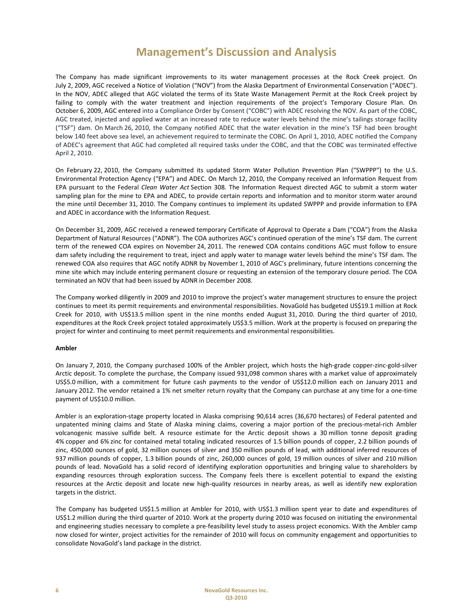The Company has made significant improvements to its water management processes at the Rock Creek project. On July 2, 2009, AGC received a Notice of Violation ("NOV") from the Alaska Department of Environmental Conservation ("ADEC"). In the NOV, ADEC alleged that AGC violated the terms of its State Waste Management Permit at the Rock Creek project by failing to comply with the water treatment and injection requirements of the project's Temporary Closure Plan. On October 6, 2009, AGC entered into a Compliance Order by Consent ("COBC") with ADEC resolving the NOV. As part of the COBC, AGC treated, injected and applied water at an increased rate to reduce water levels behind the mine's tailings storage facility ("TSF") dam. On March 26, 2010, the Company notified ADEC that the water elevation in the mine's TSF had been brought below 140 feet above sea level, an achievement required to terminate the COBC. On April 1, 2010, ADEC notified the Company of ADEC's agreement that AGC had completed all required tasks under the COBC, and that the COBC was terminated effective April 2, 2010.

On February 22, 2010, the Company submitted its updated Storm Water Pollution Prevention Plan ("SWPPP") to the U.S. Environmental Protection Agency ("EPA") and ADEC. On March 12, 2010, the Company received an Information Request from EPA pursuant to the Federal *Clean Water Act* Section 308. The Information Request directed AGC to submit a storm water sampling plan for the mine to EPA and ADEC, to provide certain reports and information and to monitor storm water around the mine until December 31, 2010. The Company continues to implement its updated SWPPP and provide information to EPA and ADEC in accordance with the Information Request.

On December 31, 2009, AGC received a renewed temporary Certificate of Approval to Operate a Dam ("COA") from the Alaska Department of Natural Resources ("ADNR"). The COA authorizes AGC's continued operation of the mine's TSF dam. The current term of the renewed COA expires on November 24, 2011. The renewed COA contains conditions AGC must follow to ensure dam safety including the requirement to treat, inject and apply water to manage water levels behind the mine's TSF dam. The renewed COA also requires that AGC notify ADNR by November 1, 2010 of AGC's preliminary, future intentions concerning the mine site which may include entering permanent closure or requesting an extension of the temporary closure period. The COA terminated an NOV that had been issued by ADNR in December 2008.

The Company worked diligently in 2009 and 2010 to improve the project's water management structures to ensure the project continues to meet its permit requirements and environmental responsibilities. NovaGold has budgeted US\$19.1 million at Rock Creek for 2010, with US\$13.5 million spent in the nine months ended August 31, 2010. During the third quarter of 2010, expenditures at the Rock Creek project totaled approximately US\$3.5 million. Work at the property is focused on preparing the project for winter and continuing to meet permit requirements and environmental responsibilities.

#### **Ambler**

On January 7, 2010, the Company purchased 100% of the Ambler project, which hosts the high-grade copper-zinc-gold-silver Arctic deposit. To complete the purchase, the Company issued 931,098 common shares with a market value of approximately US\$5.0 million, with a commitment for future cash payments to the vendor of US\$12.0 million each on January 2011 and January 2012. The vendor retained a 1% net smelter return royalty that the Company can purchase at any time for a one‐time payment of US\$10.0 million.

Ambler is an exploration‐stage property located in Alaska comprising 90,614 acres (36,670 hectares) of Federal patented and unpatented mining claims and State of Alaska mining claims, covering a major portion of the precious‐metal‐rich Ambler volcanogenic massive sulfide belt. A resource estimate for the Arctic deposit shows a 30 million tonne deposit grading 4% copper and 6% zinc for contained metal totaling indicated resources of 1.5 billion pounds of copper, 2.2 billion pounds of zinc, 450,000 ounces of gold, 32 million ounces of silver and 350 million pounds of lead, with additional inferred resources of 937 million pounds of copper, 1.3 billion pounds of zinc, 260,000 ounces of gold, 19 million ounces of silver and 210 million pounds of lead. NovaGold has a solid record of identifying exploration opportunities and bringing value to shareholders by expanding resources through exploration success. The Company feels there is excellent potential to expand the existing resources at the Arctic deposit and locate new high-quality resources in nearby areas, as well as identify new exploration targets in the district.

The Company has budgeted US\$1.5 million at Ambler for 2010, with US\$1.3 million spent year to date and expenditures of US\$1.2 million during the third quarter of 2010. Work at the property during 2010 was focused on initiating the environmental and engineering studies necessary to complete a pre‐feasibility level study to assess project economics. With the Ambler camp now closed for winter, project activities for the remainder of 2010 will focus on community engagement and opportunities to consolidate NovaGold's land package in the district.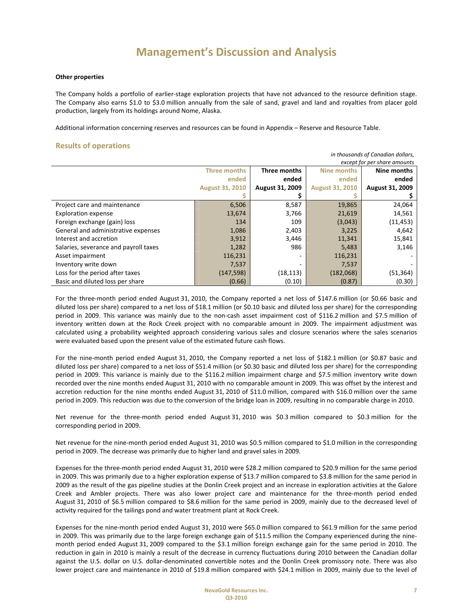#### **Other properties**

The Company holds a portfolio of earlier‐stage exploration projects that have not advanced to the resource definition stage. The Company also earns \$1.0 to \$3.0 million annually from the sale of sand, gravel and land and royalties from placer gold production, largely from its holdings around Nome, Alaska.

Additional information concerning reserves and resources can be found in Appendix – Reserve and Resource Table.

### **Results of operations**

| in thousands of Canadian dollars,                          |                        |                          |                        |                              |  |
|------------------------------------------------------------|------------------------|--------------------------|------------------------|------------------------------|--|
|                                                            |                        |                          |                        | except for per share amounts |  |
| Three months<br>Three months<br>Nine months<br>Nine months |                        |                          |                        |                              |  |
|                                                            | ended                  | ended                    | ended                  | ended                        |  |
|                                                            | <b>August 31, 2010</b> | August 31, 2009          | <b>August 31, 2010</b> | August 31, 2009              |  |
|                                                            |                        |                          |                        |                              |  |
| Project care and maintenance                               | 6,506                  | 8,587                    | 19,865                 | 24,064                       |  |
| <b>Exploration expense</b>                                 | 13,674                 | 3,766                    | 21,619                 | 14,561                       |  |
| Foreign exchange (gain) loss                               | 134                    | 109                      | (3,043)                | (11, 453)                    |  |
| General and administrative expenses                        | 1,086                  | 2,403                    | 3,225                  | 4,642                        |  |
| Interest and accretion                                     | 3,912                  | 3,446                    | 11,341                 | 15,841                       |  |
| Salaries, severance and payroll taxes                      | 1,282                  | 986                      | 5,483                  | 3,146                        |  |
| Asset impairment                                           | 116,231                | $\overline{\phantom{a}}$ | 116,231                |                              |  |
| Inventory write down                                       | 7,537                  | -                        | 7,537                  |                              |  |
| Loss for the period after taxes                            | (147, 598)             | (18,113)                 | (182,068)              | (51, 364)                    |  |
| Basic and diluted loss per share                           | (0.66)                 | (0.10)                   | (0.87)                 | (0.30)                       |  |

For the three-month period ended August 31, 2010, the Company reported a net loss of \$147.6 million (or \$0.66 basic and diluted loss per share) compared to a net loss of \$18.1 million (or \$0.10 basic and diluted loss per share) for the corresponding period in 2009. This variance was mainly due to the non-cash asset impairment cost of \$116.2 million and \$7.5 million of inventory written down at the Rock Creek project with no comparable amount in 2009. The impairment adjustment was calculated using a probability weighted approach considering various sales and closure scenarios where the sales scenarios were evaluated based upon the present value of the estimated future cash flows.

For the nine‐month period ended August 31, 2010, the Company reported a net loss of \$182.1 million (or \$0.87 basic and diluted loss per share) compared to a net loss of \$51.4 million (or \$0.30 basic and diluted loss per share) for the corresponding period in 2009. This variance is mainly due to the \$116.2 million impairment charge and \$7.5 million inventory write down recorded over the nine months ended August 31, 2010 with no comparable amount in 2009. This was offset by the interest and accretion reduction for the nine months ended August 31, 2010 of \$11.0 million, compared with \$16.0 million over the same period in 2009. This reduction was due to the conversion of the bridge loan in 2009, resulting in no comparable charge in 2010.

Net revenue for the three‐month period ended August 31, 2010 was \$0.3 million compared to \$0.3 million for the corresponding period in 2009.

Net revenue for the nine‐month period ended August 31, 2010 was \$0.5 million compared to \$1.0 million in the corresponding period in 2009. The decrease was primarily due to higher land and gravel sales in 2009.

Expenses for the three‐month period ended August 31, 2010 were \$28.2 million compared to \$20.9 million for the same period in 2009. This was primarily due to a higher exploration expense of \$13.7 million compared to \$3.8 million for the same period in 2009 as the result of the gas pipeline studies at the Donlin Creek project and an increase in exploration activities at the Galore Creek and Ambler projects. There was also lower project care and maintenance for the three‐month period ended August 31, 2010 of \$6.5 million compared to \$8.6 million for the same period in 2009, mainly due to the decreased level of activity required for the tailings pond and water treatment plant at Rock Creek.

Expenses for the nine‐month period ended August 31, 2010 were \$65.0 million compared to \$61.9 million for the same period in 2009. This was primarily due to the large foreign exchange gain of \$11.5 million the Company experienced during the ninemonth period ended August 31, 2009 compared to the \$3.1 million foreign exchange gain for the same period in 2010. The reduction in gain in 2010 is mainly a result of the decrease in currency fluctuations during 2010 between the Canadian dollar against the U.S. dollar on U.S. dollar‐denominated convertible notes and the Donlin Creek promissory note. There was also lower project care and maintenance in 2010 of \$19.8 million compared with \$24.1 million in 2009, mainly due to the level of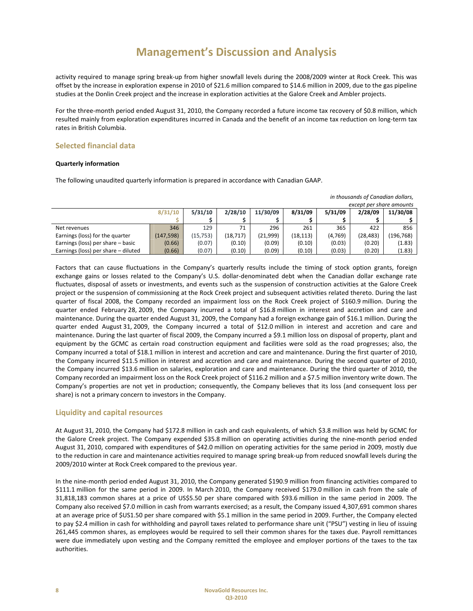activity required to manage spring break‐up from higher snowfall levels during the 2008/2009 winter at Rock Creek. This was offset by the increase in exploration expense in 2010 of \$21.6 million compared to \$14.6 million in 2009, due to the gas pipeline studies at the Donlin Creek project and the increase in exploration activities at the Galore Creek and Ambler projects.

For the three-month period ended August 31, 2010, the Company recorded a future income tax recovery of \$0.8 million, which resulted mainly from exploration expenditures incurred in Canada and the benefit of an income tax reduction on long‐term tax rates in British Columbia.

## **Selected financial data**

#### **Quarterly information**

The following unaudited quarterly information is prepared in accordance with Canadian GAAP.

| m chodsands of canadian donars,     |            |          |          |          |           |         |                          |            |
|-------------------------------------|------------|----------|----------|----------|-----------|---------|--------------------------|------------|
|                                     |            |          |          |          |           |         | except per share amounts |            |
|                                     | 8/31/10    | 5/31/10  | 2/28/10  | 11/30/09 | 8/31/09   | 5/31/09 | 2/28/09                  | 11/30/08   |
|                                     |            |          |          |          |           |         |                          |            |
| Net revenues                        | 346        | 129      | 71       | 296      | 261       | 365     | 422                      | 856        |
| Earnings (loss) for the quarter     | (147, 598) | (15.753) | (18,717) | (21,999) | (18, 113) | (4,769) | (28, 483)                | (196, 768) |
| Earnings (loss) per share - basic   | (0.66)     | (0.07)   | (0.10)   | (0.09)   | (0.10)    | (0.03)  | (0.20)                   | (1.83)     |
| Earnings (loss) per share - diluted | (0.66)     | (0.07)   | (0.10)   | (0.09)   | (0.10)    | (0.03)  | (0.20)                   | (1.83)     |

*in thousands of Canadian dollars,*

Factors that can cause fluctuations in the Company's quarterly results include the timing of stock option grants, foreign exchange gains or losses related to the Company's U.S. dollar-denominated debt when the Canadian dollar exchange rate fluctuates, disposal of assets or investments, and events such as the suspension of construction activities at the Galore Creek project or the suspension of commissioning at the Rock Creek project and subsequent activities related thereto. During the last quarter of fiscal 2008, the Company recorded an impairment loss on the Rock Creek project of \$160.9 million. During the quarter ended February 28, 2009, the Company incurred a total of \$16.8 million in interest and accretion and care and maintenance. During the quarter ended August 31, 2009, the Company had a foreign exchange gain of \$16.1 million. During the quarter ended August 31, 2009, the Company incurred a total of \$12.0 million in interest and accretion and care and maintenance. During the last quarter of fiscal 2009, the Company incurred a \$9.1 million loss on disposal of property, plant and equipment by the GCMC as certain road construction equipment and facilities were sold as the road progresses; also, the Company incurred a total of \$18.1 million in interest and accretion and care and maintenance. During the first quarter of 2010, the Company incurred \$11.5 million in interest and accretion and care and maintenance. During the second quarter of 2010, the Company incurred \$13.6 million on salaries, exploration and care and maintenance. During the third quarter of 2010, the Company recorded an impairment loss on the Rock Creek project of \$116.2 million and a \$7.5 million inventory write down. The Company's properties are not yet in production; consequently, the Company believes that its loss (and consequent loss per share) is not a primary concern to investors in the Company.

## **Liquidity and capital resources**

At August 31, 2010, the Company had \$172.8 million in cash and cash equivalents, of which \$3.8 million was held by GCMC for the Galore Creek project. The Company expended \$35.8 million on operating activities during the nine-month period ended August 31, 2010, compared with expenditures of \$42.0 million on operating activities for the same period in 2009, mostly due to the reduction in care and maintenance activities required to manage spring break‐up from reduced snowfall levels during the 2009/2010 winter at Rock Creek compared to the previous year.

In the nine‐month period ended August 31, 2010, the Company generated \$190.9 million from financing activities compared to \$111.1 million for the same period in 2009. In March 2010, the Company received \$179.0 million in cash from the sale of 31,818,183 common shares at a price of US\$5.50 per share compared with \$93.6 million in the same period in 2009. The Company also received \$7.0 million in cash from warrants exercised; as a result, the Company issued 4,307,691 common shares at an average price of \$US1.50 per share compared with \$5.1 million in the same period in 2009. Further, the Company elected to pay \$2.4 million in cash for withholding and payroll taxes related to performance share unit ("PSU") vesting in lieu of issuing 261,445 common shares, as employees would be required to sell their common shares for the taxes due. Payroll remittances were due immediately upon vesting and the Company remitted the employee and employer portions of the taxes to the tax authorities.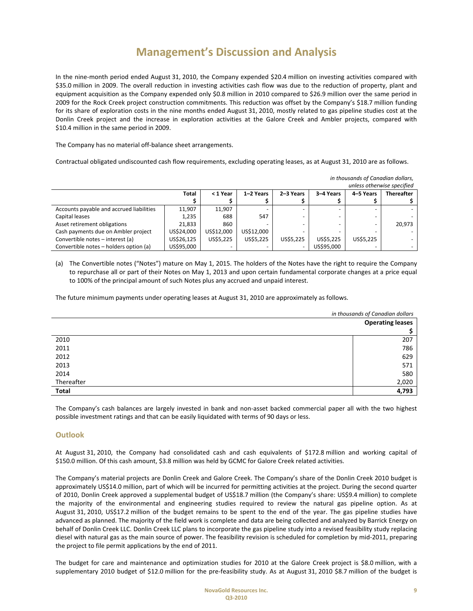In the nine-month period ended August 31, 2010, the Company expended \$20.4 million on investing activities compared with \$35.0 million in 2009. The overall reduction in investing activities cash flow was due to the reduction of property, plant and equipment acquisition as the Company expended only \$0.8 million in 2010 compared to \$26.9 million over the same period in 2009 for the Rock Creek project construction commitments. This reduction was offset by the Company's \$18.7 million funding for its share of exploration costs in the nine months ended August 31, 2010, mostly related to gas pipeline studies cost at the Donlin Creek project and the increase in exploration activities at the Galore Creek and Ambler projects, compared with \$10.4 million in the same period in 2009.

The Company has no material off‐balance sheet arrangements.

Contractual obligated undiscounted cash flow requirements, excluding operating leases, as at August 31, 2010 are as follows.

|                                          |              |            |            |           |            | unless otherwise specified |                   |
|------------------------------------------|--------------|------------|------------|-----------|------------|----------------------------|-------------------|
|                                          | <b>Total</b> | < 1 Year   | 1-2 Years  | 2-3 Years | 3-4 Years  | 4-5 Years                  | <b>Thereafter</b> |
|                                          |              |            |            |           |            |                            |                   |
| Accounts payable and accrued liabilities | 11,907       | 11,907     |            |           |            | $\overline{\phantom{0}}$   |                   |
| Capital leases                           | 1,235        | 688        | 547        |           |            | $\overline{\phantom{0}}$   |                   |
| Asset retirement obligations             | 21.833       | 860        |            |           |            |                            | 20.973            |
| Cash payments due on Ambler project      | US\$24.000   | US\$12.000 | US\$12.000 |           |            |                            |                   |
| Convertible notes - interest (a)         | US\$26,125   | US\$5,225  | US\$5,225  | US\$5,225 | US\$5,225  | US\$5,225                  |                   |
| Convertible notes - holders option (a)   | US\$95,000   |            |            |           | US\$95.000 |                            |                   |

(a) The Convertible notes ("Notes") mature on May 1, 2015. The holders of the Notes have the right to require the Company to repurchase all or part of their Notes on May 1, 2013 and upon certain fundamental corporate changes at a price equal to 100% of the principal amount of such Notes plus any accrued and unpaid interest.

The future minimum payments under operating leases at August 31, 2010 are approximately as follows.

|            | in thousands of Canadian dollars |
|------------|----------------------------------|
|            | <b>Operating leases</b>          |
|            |                                  |
| 2010       | 207                              |
| 2011       | 786                              |
| 2012       | 629                              |
| 2013       | 571                              |
| 2014       | 580                              |
| Thereafter | 2,020                            |
| Total      | 4,793                            |

The Company's cash balances are largely invested in bank and non-asset backed commercial paper all with the two highest possible investment ratings and that can be easily liquidated with terms of 90 days or less.

## **Outlook**

At August 31, 2010, the Company had consolidated cash and cash equivalents of \$172.8 million and working capital of \$150.0 million. Of this cash amount, \$3.8 million was held by GCMC for Galore Creek related activities.

The Company's material projects are Donlin Creek and Galore Creek. The Company's share of the Donlin Creek 2010 budget is approximately US\$14.0 million, part of which will be incurred for permitting activities at the project. During the second quarter of 2010, Donlin Creek approved a supplemental budget of US\$18.7 million (the Company's share: US\$9.4 million) to complete the majority of the environmental and engineering studies required to review the natural gas pipeline option. As at August 31, 2010, US\$17.2 million of the budget remains to be spent to the end of the year. The gas pipeline studies have advanced as planned. The majority of the field work is complete and data are being collected and analyzed by Barrick Energy on behalf of Donlin Creek LLC. Donlin Creek LLC plans to incorporate the gas pipeline study into a revised feasibility study replacing diesel with natural gas as the main source of power. The feasibility revision is scheduled for completion by mid‐2011, preparing the project to file permit applications by the end of 2011.

The budget for care and maintenance and optimization studies for 2010 at the Galore Creek project is \$8.0 million, with a supplementary 2010 budget of \$12.0 million for the pre-feasibility study. As at August 31, 2010 \$8.7 million of the budget is

*in thousands of Canadian dollars,*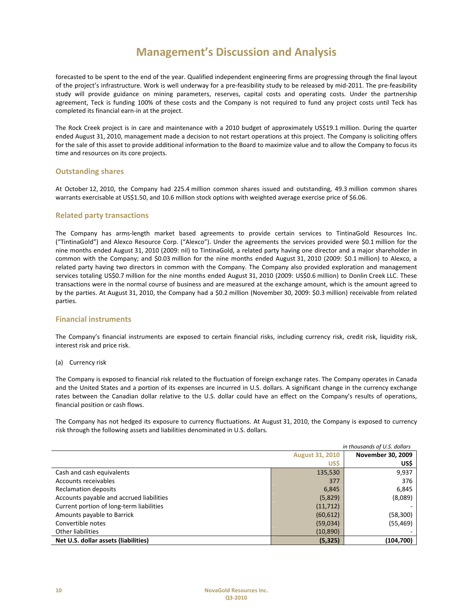forecasted to be spent to the end of the year. Qualified independent engineering firms are progressing through the final layout of the project's infrastructure. Work is well underway for a pre‐feasibility study to be released by mid‐2011. The pre‐feasibility study will provide guidance on mining parameters, reserves, capital costs and operating costs. Under the partnership agreement, Teck is funding 100% of these costs and the Company is not required to fund any project costs until Teck has completed its financial earn‐in at the project.

The Rock Creek project is in care and maintenance with a 2010 budget of approximately US\$19.1 million. During the quarter ended August 31, 2010, management made a decision to not restart operations at this project. The Company is soliciting offers for the sale of this asset to provide additional information to the Board to maximize value and to allow the Company to focus its time and resources on its core projects.

## **Outstanding shares**

At October 12, 2010, the Company had 225.4 million common shares issued and outstanding, 49.3 million common shares warrants exercisable at US\$1.50, and 10.6 million stock options with weighted average exercise price of \$6.06.

## **Related party transactions**

The Company has arms‐length market based agreements to provide certain services to TintinaGold Resources Inc. ("TintinaGold") and Alexco Resource Corp. ("Alexco"). Under the agreements the services provided were \$0.1 million for the nine months ended August 31, 2010 (2009: nil) to TintinaGold, a related party having one director and a major shareholder in common with the Company; and \$0.03 million for the nine months ended August 31, 2010 (2009: \$0.1 million) to Alexco, a related party having two directors in common with the Company. The Company also provided exploration and management services totaling US\$0.7 million for the nine months ended August 31, 2010 (2009: US\$0.6 million) to Donlin Creek LLC. These transactions were in the normal course of business and are measured at the exchange amount, which is the amount agreed to by the parties. At August 31, 2010, the Company had a \$0.2 million (November 30, 2009: \$0.3 million) receivable from related parties.

## **Financial instruments**

The Company's financial instruments are exposed to certain financial risks, including currency risk, credit risk, liquidity risk, interest risk and price risk.

#### (a) Currency risk

The Company is exposed to financial risk related to the fluctuation of foreign exchange rates. The Company operates in Canada and the United States and a portion of its expenses are incurred in U.S. dollars. A significant change in the currency exchange rates between the Canadian dollar relative to the U.S. dollar could have an effect on the Company's results of operations, financial position or cash flows.

The Company has not hedged its exposure to currency fluctuations. At August 31, 2010, the Company is exposed to currency risk through the following assets and liabilities denominated in U.S. dollars.

| in thousands of U.S. dollars             |                        |                          |  |
|------------------------------------------|------------------------|--------------------------|--|
|                                          | <b>August 31, 2010</b> | <b>November 30, 2009</b> |  |
|                                          | <b>US\$</b>            | US\$                     |  |
| Cash and cash equivalents                | 135,530                | 9,937                    |  |
| Accounts receivables                     | 377                    | 376                      |  |
| Reclamation deposits                     | 6,845                  | 6,845                    |  |
| Accounts payable and accrued liabilities | (5,829)                | (8,089)                  |  |
| Current portion of long-term liabilities | (11, 712)              |                          |  |
| Amounts payable to Barrick               | (60, 612)              | (58, 300)                |  |
| Convertible notes                        | (59,034)               | (55, 469)                |  |
| Other liabilities                        | (10, 890)              |                          |  |
| Net U.S. dollar assets (liabilities)     | (5, 325)               | (104, 700)               |  |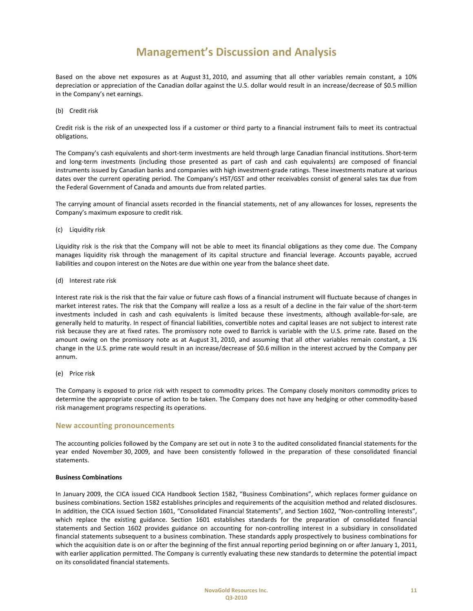Based on the above net exposures as at August 31, 2010, and assuming that all other variables remain constant, a 10% depreciation or appreciation of the Canadian dollar against the U.S. dollar would result in an increase/decrease of \$0.5 million in the Company's net earnings.

#### (b) Credit risk

Credit risk is the risk of an unexpected loss if a customer or third party to a financial instrument fails to meet its contractual obligations.

The Company's cash equivalents and short‐term investments are held through large Canadian financial institutions. Short‐term and long-term investments (including those presented as part of cash and cash equivalents) are composed of financial instruments issued by Canadian banks and companies with high investment‐grade ratings. These investments mature at various dates over the current operating period. The Company's HST/GST and other receivables consist of general sales tax due from the Federal Government of Canada and amounts due from related parties.

The carrying amount of financial assets recorded in the financial statements, net of any allowances for losses, represents the Company's maximum exposure to credit risk.

#### (c) Liquidity risk

Liquidity risk is the risk that the Company will not be able to meet its financial obligations as they come due. The Company manages liquidity risk through the management of its capital structure and financial leverage. Accounts payable, accrued liabilities and coupon interest on the Notes are due within one year from the balance sheet date.

#### (d) Interest rate risk

Interest rate risk is the risk that the fair value or future cash flows of a financial instrument will fluctuate because of changes in market interest rates. The risk that the Company will realize a loss as a result of a decline in the fair value of the short‐term investments included in cash and cash equivalents is limited because these investments, although available‐for‐sale, are generally held to maturity. In respect of financial liabilities, convertible notes and capital leases are not subject to interest rate risk because they are at fixed rates. The promissory note owed to Barrick is variable with the U.S. prime rate. Based on the amount owing on the promissory note as at August 31, 2010, and assuming that all other variables remain constant, a 1% change in the U.S. prime rate would result in an increase/decrease of \$0.6 million in the interest accrued by the Company per annum.

(e) Price risk

The Company is exposed to price risk with respect to commodity prices. The Company closely monitors commodity prices to determine the appropriate course of action to be taken. The Company does not have any hedging or other commodity‐based risk management programs respecting its operations.

#### **New accounting pronouncements**

The accounting policies followed by the Company are set out in note 3 to the audited consolidated financial statements for the year ended November 30, 2009, and have been consistently followed in the preparation of these consolidated financial statements.

#### **Business Combinations**

In January 2009, the CICA issued CICA Handbook Section 1582, "Business Combinations", which replaces former guidance on business combinations. Section 1582 establishes principles and requirements of the acquisition method and related disclosures. In addition, the CICA issued Section 1601, "Consolidated Financial Statements", and Section 1602, "Non-controlling Interests", which replace the existing guidance. Section 1601 establishes standards for the preparation of consolidated financial statements and Section 1602 provides guidance on accounting for non-controlling interest in a subsidiary in consolidated financial statements subsequent to a business combination. These standards apply prospectively to business combinations for which the acquisition date is on or after the beginning of the first annual reporting period beginning on or after January 1, 2011, with earlier application permitted. The Company is currently evaluating these new standards to determine the potential impact on its consolidated financial statements.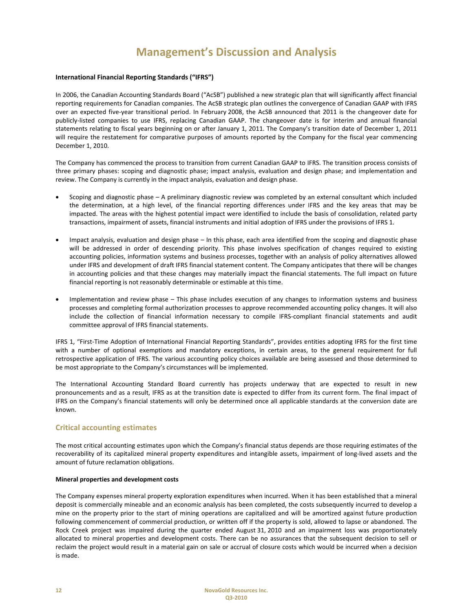## **International Financial Reporting Standards ("IFRS")**

In 2006, the Canadian Accounting Standards Board ("AcSB") published a new strategic plan that will significantly affect financial reporting requirements for Canadian companies. The AcSB strategic plan outlines the convergence of Canadian GAAP with IFRS over an expected five‐year transitional period. In February 2008, the AcSB announced that 2011 is the changeover date for publicly‐listed companies to use IFRS, replacing Canadian GAAP. The changeover date is for interim and annual financial statements relating to fiscal years beginning on or after January 1, 2011. The Company's transition date of December 1, 2011 will require the restatement for comparative purposes of amounts reported by the Company for the fiscal year commencing December 1, 2010.

The Company has commenced the process to transition from current Canadian GAAP to IFRS. The transition process consists of three primary phases: scoping and diagnostic phase; impact analysis, evaluation and design phase; and implementation and review. The Company is currently in the impact analysis, evaluation and design phase.

- Scoping and diagnostic phase A preliminary diagnostic review was completed by an external consultant which included the determination, at a high level, of the financial reporting differences under IFRS and the key areas that may be impacted. The areas with the highest potential impact were identified to include the basis of consolidation, related party transactions, impairment of assets, financial instruments and initial adoption of IFRS under the provisions of IFRS 1.
- Impact analysis, evaluation and design phase In this phase, each area identified from the scoping and diagnostic phase will be addressed in order of descending priority. This phase involves specification of changes required to existing accounting policies, information systems and business processes, together with an analysis of policy alternatives allowed under IFRS and development of draft IFRS financial statement content. The Company anticipates that there will be changes in accounting policies and that these changes may materially impact the financial statements. The full impact on future financial reporting is not reasonably determinable or estimable at this time.
- Implementation and review phase This phase includes execution of any changes to information systems and business processes and completing formal authorization processes to approve recommended accounting policy changes. It will also include the collection of financial information necessary to compile IFRS‐compliant financial statements and audit committee approval of IFRS financial statements.

IFRS 1, "First‐Time Adoption of International Financial Reporting Standards", provides entities adopting IFRS for the first time with a number of optional exemptions and mandatory exceptions, in certain areas, to the general requirement for full retrospective application of IFRS. The various accounting policy choices available are being assessed and those determined to be most appropriate to the Company's circumstances will be implemented.

The International Accounting Standard Board currently has projects underway that are expected to result in new pronouncements and as a result, IFRS as at the transition date is expected to differ from its current form. The final impact of IFRS on the Company's financial statements will only be determined once all applicable standards at the conversion date are known.

## **Critical accounting estimates**

The most critical accounting estimates upon which the Company's financial status depends are those requiring estimates of the recoverability of its capitalized mineral property expenditures and intangible assets, impairment of long‐lived assets and the amount of future reclamation obligations.

### **Mineral properties and development costs**

The Company expenses mineral property exploration expenditures when incurred. When it has been established that a mineral deposit is commercially mineable and an economic analysis has been completed, the costs subsequently incurred to develop a mine on the property prior to the start of mining operations are capitalized and will be amortized against future production following commencement of commercial production, or written off if the property is sold, allowed to lapse or abandoned. The Rock Creek project was impaired during the quarter ended August 31, 2010 and an impairment loss was proportionately allocated to mineral properties and development costs. There can be no assurances that the subsequent decision to sell or reclaim the project would result in a material gain on sale or accrual of closure costs which would be incurred when a decision is made.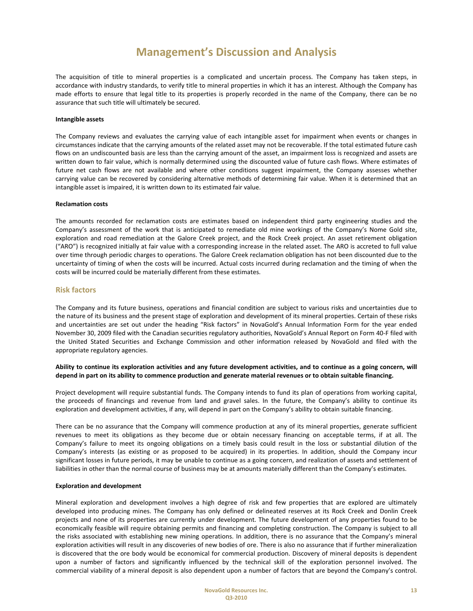The acquisition of title to mineral properties is a complicated and uncertain process. The Company has taken steps, in accordance with industry standards, to verify title to mineral properties in which it has an interest. Although the Company has made efforts to ensure that legal title to its properties is properly recorded in the name of the Company, there can be no assurance that such title will ultimately be secured.

#### **Intangible assets**

The Company reviews and evaluates the carrying value of each intangible asset for impairment when events or changes in circumstances indicate that the carrying amounts of the related asset may not be recoverable. If the total estimated future cash flows on an undiscounted basis are less than the carrying amount of the asset, an impairment loss is recognized and assets are written down to fair value, which is normally determined using the discounted value of future cash flows. Where estimates of future net cash flows are not available and where other conditions suggest impairment, the Company assesses whether carrying value can be recovered by considering alternative methods of determining fair value. When it is determined that an intangible asset is impaired, it is written down to its estimated fair value.

#### **Reclamation costs**

The amounts recorded for reclamation costs are estimates based on independent third party engineering studies and the Company's assessment of the work that is anticipated to remediate old mine workings of the Company's Nome Gold site, exploration and road remediation at the Galore Creek project, and the Rock Creek project. An asset retirement obligation ("ARO") is recognized initially at fair value with a corresponding increase in the related asset. The ARO is accreted to full value over time through periodic charges to operations. The Galore Creek reclamation obligation has not been discounted due to the uncertainty of timing of when the costs will be incurred. Actual costs incurred during reclamation and the timing of when the costs will be incurred could be materially different from these estimates.

#### **Risk factors**

The Company and its future business, operations and financial condition are subject to various risks and uncertainties due to the nature of its business and the present stage of exploration and development of its mineral properties. Certain of these risks and uncertainties are set out under the heading "Risk factors" in NovaGold's Annual Information Form for the year ended November 30, 2009 filed with the Canadian securities regulatory authorities, NovaGold's Annual Report on Form 40‐F filed with the United Stated Securities and Exchange Commission and other information released by NovaGold and filed with the appropriate regulatory agencies.

### Ability to continue its exploration activities and any future development activities, and to continue as a going concern, will depend in part on its ability to commence production and generate material revenues or to obtain suitable financing.

Project development will require substantial funds. The Company intends to fund its plan of operations from working capital, the proceeds of financings and revenue from land and gravel sales. In the future, the Company's ability to continue its exploration and development activities, if any, will depend in part on the Company's ability to obtain suitable financing.

There can be no assurance that the Company will commence production at any of its mineral properties, generate sufficient revenues to meet its obligations as they become due or obtain necessary financing on acceptable terms, if at all. The Company's failure to meet its ongoing obligations on a timely basis could result in the loss or substantial dilution of the Company's interests (as existing or as proposed to be acquired) in its properties. In addition, should the Company incur significant losses in future periods, it may be unable to continue as a going concern, and realization of assets and settlement of liabilities in other than the normal course of business may be at amounts materially different than the Company's estimates.

#### **Exploration and development**

Mineral exploration and development involves a high degree of risk and few properties that are explored are ultimately developed into producing mines. The Company has only defined or delineated reserves at its Rock Creek and Donlin Creek projects and none of its properties are currently under development. The future development of any properties found to be economically feasible will require obtaining permits and financing and completing construction. The Company is subject to all the risks associated with establishing new mining operations. In addition, there is no assurance that the Company's mineral exploration activities will result in any discoveries of new bodies of ore. There is also no assurance that if further mineralization is discovered that the ore body would be economical for commercial production. Discovery of mineral deposits is dependent upon a number of factors and significantly influenced by the technical skill of the exploration personnel involved. The commercial viability of a mineral deposit is also dependent upon a number of factors that are beyond the Company's control.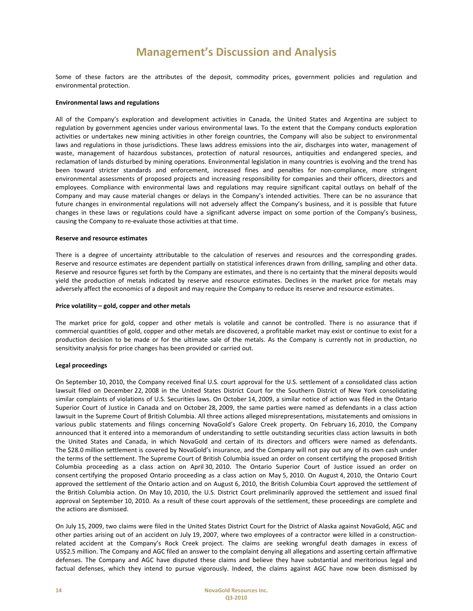Some of these factors are the attributes of the deposit, commodity prices, government policies and regulation and environmental protection.

### **Environmental laws and regulations**

All of the Company's exploration and development activities in Canada, the United States and Argentina are subject to regulation by government agencies under various environmental laws. To the extent that the Company conducts exploration activities or undertakes new mining activities in other foreign countries, the Company will also be subject to environmental laws and regulations in those jurisdictions. These laws address emissions into the air, discharges into water, management of waste, management of hazardous substances, protection of natural resources, antiquities and endangered species, and reclamation of lands disturbed by mining operations. Environmental legislation in many countries is evolving and the trend has been toward stricter standards and enforcement, increased fines and penalties for non-compliance, more stringent environmental assessments of proposed projects and increasing responsibility for companies and their officers, directors and employees. Compliance with environmental laws and regulations may require significant capital outlays on behalf of the Company and may cause material changes or delays in the Company's intended activities. There can be no assurance that future changes in environmental regulations will not adversely affect the Company's business, and it is possible that future changes in these laws or regulations could have a significant adverse impact on some portion of the Company's business, causing the Company to re‐evaluate those activities at that time.

#### **Reserve and resource estimates**

There is a degree of uncertainty attributable to the calculation of reserves and resources and the corresponding grades. Reserve and resource estimates are dependent partially on statistical inferences drawn from drilling, sampling and other data. Reserve and resource figures set forth by the Company are estimates, and there is no certainty that the mineral deposits would yield the production of metals indicated by reserve and resource estimates. Declines in the market price for metals may adversely affect the economics of a deposit and may require the Company to reduce its reserve and resource estimates.

#### **Price volatility – gold, copper and other metals**

The market price for gold, copper and other metals is volatile and cannot be controlled. There is no assurance that if commercial quantities of gold, copper and other metals are discovered, a profitable market may exist or continue to exist for a production decision to be made or for the ultimate sale of the metals. As the Company is currently not in production, no sensitivity analysis for price changes has been provided or carried out.

#### **Legal proceedings**

On September 10, 2010, the Company received final U.S. court approval for the U.S. settlement of a consolidated class action lawsuit filed on December 22, 2008 in the United States District Court for the Southern District of New York consolidating similar complaints of violations of U.S. Securities laws. On October 14, 2009, a similar notice of action was filed in the Ontario Superior Court of Justice in Canada and on October 28, 2009, the same parties were named as defendants in a class action lawsuit in the Supreme Court of British Columbia. All three actions alleged misrepresentations, misstatements and omissions in various public statements and filings concerning NovaGold's Galore Creek property. On February 16, 2010, the Company announced that it entered into a memorandum of understanding to settle outstanding securities class action lawsuits in both the United States and Canada, in which NovaGold and certain of its directors and officers were named as defendants. The \$28.0 million settlement is covered by NovaGold's insurance, and the Company will not pay out any of its own cash under the terms of the settlement. The Supreme Court of British Columbia issued an order on consent certifying the proposed British Columbia proceeding as a class action on April 30, 2010. The Ontario Superior Court of Justice issued an order on consent certifying the proposed Ontario proceeding as a class action on May 5, 2010. On August 4, 2010, the Ontario Court approved the settlement of the Ontario action and on August 6, 2010, the British Columbia Court approved the settlement of the British Columbia action. On May 10, 2010, the U.S. District Court preliminarily approved the settlement and issued final approval on September 10, 2010. As a result of these court approvals of the settlement, these proceedings are complete and the actions are dismissed.

On July 15, 2009, two claims were filed in the United States District Court for the District of Alaska against NovaGold, AGC and other parties arising out of an accident on July 19, 2007, where two employees of a contractor were killed in a constructionrelated accident at the Company's Rock Creek project. The claims are seeking wrongful death damages in excess of US\$2.5 million. The Company and AGC filed an answer to the complaint denying all allegations and asserting certain affirmative defenses. The Company and AGC have disputed these claims and believe they have substantial and meritorious legal and factual defenses, which they intend to pursue vigorously. Indeed, the claims against AGC have now been dismissed by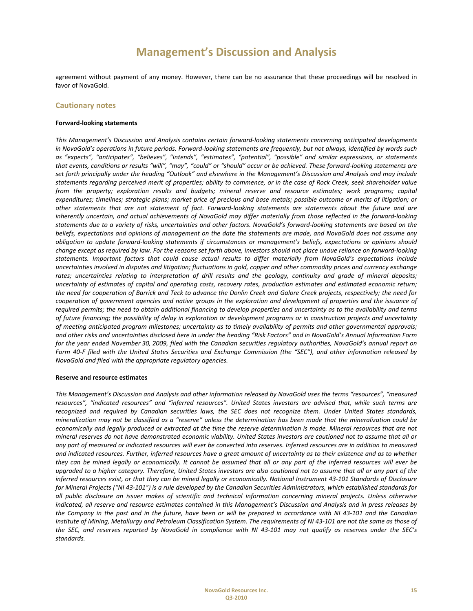agreement without payment of any money. However, there can be no assurance that these proceedings will be resolved in favor of NovaGold.

### **Cautionary notes**

#### **Forward‐looking statements**

*This Management's Discussion and Analysis contains certain forward‐looking statements concerning anticipated developments* in NovaGold's operations in future periods. Forward-looking statements are frequently, but not always, identified by words such *as "expects", "anticipates", "believes", "intends", "estimates", "potential", "possible" and similar expressions, or statements* that events, conditions or results "will", "may", "could" or "should" occur or be achieved. These forward-looking statements are set forth principally under the heading "Outlook" and elsewhere in the Management's Discussion and Analysis and may include statements regarding perceived merit of properties; ability to commence, or in the case of Rock Creek, seek shareholder value *from the property; exploration results and budgets; mineral reserve and resource estimates; work programs; capital* expenditures; timelines; strategic plans; market price of precious and base metals; possible outcome or merits of litigation; or other statements that are not statement of fact. Forward-looking statements are statements about the future and are inherently uncertain, and actual achievements of NovaGold may differ materially from those reflected in the forward-looking statements due to a variety of risks, uncertainties and other factors. NovaGold's forward-looking statements are based on the beliefs, expectations and opinions of management on the date the statements are made, and NovaGold does not assume any obligation to update forward-looking statements if circumstances or management's beliefs, expectations or opinions should change except as required by law. For the reasons set forth above, investors should not place undue reliance on forward-looking *statements. Important factors that could cause actual results to differ materially from NovaGold's expectations include* uncertainties involved in disputes and litigation; fluctuations in gold, copper and other commodity prices and currency exchange rates; uncertainties relating to interpretation of drill results and the geology, continuity and grade of mineral deposits; uncertainty of estimates of capital and operating costs, recovery rates, production estimates and estimated economic return; the need for cooperation of Barrick and Teck to advance the Donlin Creek and Galore Creek projects, respectively; the need for cooperation of government agencies and native groups in the exploration and development of properties and the issuance of required permits; the need to obtain additional financing to develop properties and uncertainty as to the availability and terms of future financing; the possibility of delay in exploration or development programs or in construction projects and uncertainty of meeting anticipated program milestones; uncertainty as to timely availability of permits and other governmental approvals; and other risks and uncertainties disclosed here in under the heading "Risk Factors" and in NovaGold's Annual Information Form for the year ended November 30, 2009, filed with the Canadian securities regulatory authorities, NovaGold's annual report on Form 40-F filed with the United States Securities and Exchange Commission (the "SEC"), and other information released by *NovaGold and filed with the appropriate regulatory agencies.*

#### **Reserve and resource estimates**

This Management's Discussion and Analysis and other information released by NovaGold uses the terms "resources", "measured resources", "indicated resources" and "inferred resources". United States investors are advised that, while such terms are recognized and required by Canadian securities laws, the SEC does not recognize them. Under United States standards, mineralization may not be classified as a "reserve" unless the determination has been made that the mineralization could be economically and legally produced or extracted at the time the reserve determination is made. Mineral resources that are not mineral reserves do not have demonstrated economic viability. United States investors are cautioned not to assume that all or any part of measured or indicated resources will ever be converted into reserves. Inferred resources are in addition to measured and indicated resources. Further, inferred resources have a great amount of uncertainty as to their existence and as to whether they can be mined legally or economically. It cannot be assumed that all or any part of the inferred resources will ever be upgraded to a higher category. Therefore, United States investors are also cautioned not to assume that all or any part of the inferred resources exist, or that they can be mined legally or economically. National Instrument 43-101 Standards of Disclosure for Mineral Projects ("NI 43-101") is a rule developed by the Canadian Securities Administrators, which established standards for all public disclosure an issuer makes of scientific and technical information concerning mineral projects. Unless otherwise indicated, all reserve and resource estimates contained in this Management's Discussion and Analysis and in press releases by the Company in the past and in the future, have been or will be prepared in accordance with NI 43-101 and the Canadian Institute of Mining, Metallurgy and Petroleum Classification System. The requirements of NI 43-101 are not the same as those of the SEC, and reserves reported by NovaGold in compliance with NI 43-101 may not qualify as reserves under the SEC's *standards.*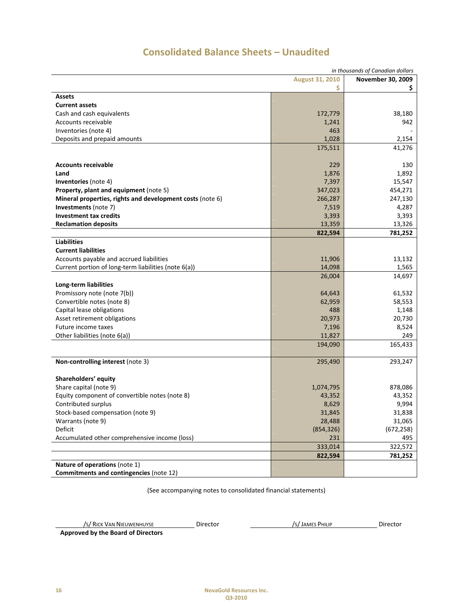| in thousands of Canadian dollars                          |            |            |  |
|-----------------------------------------------------------|------------|------------|--|
| <b>August 31, 2010</b><br>November 30, 2009               |            |            |  |
|                                                           | \$         | Ş.         |  |
| Assets                                                    |            |            |  |
| <b>Current assets</b>                                     |            |            |  |
| Cash and cash equivalents                                 | 172,779    | 38,180     |  |
| <b>Accounts receivable</b>                                | 1,241      | 942        |  |
| Inventories (note 4)                                      | 463        |            |  |
| Deposits and prepaid amounts                              | 1,028      | 2,154      |  |
|                                                           | 175,511    | 41,276     |  |
|                                                           |            |            |  |
| <b>Accounts receivable</b>                                | 229        | 130        |  |
| Land                                                      | 1,876      | 1,892      |  |
| Inventories (note 4)                                      | 7,397      | 15,547     |  |
| Property, plant and equipment (note 5)                    | 347,023    | 454,271    |  |
| Mineral properties, rights and development costs (note 6) | 266,287    | 247,130    |  |
| Investments (note 7)                                      | 7,519      | 4,287      |  |
| <b>Investment tax credits</b>                             | 3,393      | 3,393      |  |
| <b>Reclamation deposits</b>                               | 13,359     | 13,326     |  |
|                                                           | 822,594    | 781,252    |  |
| <b>Liabilities</b>                                        |            |            |  |
| <b>Current liabilities</b>                                |            |            |  |
| Accounts payable and accrued liabilities                  | 11,906     | 13,132     |  |
| Current portion of long-term liabilities (note 6(a))      | 14,098     | 1,565      |  |
|                                                           | 26,004     | 14,697     |  |
| Long-term liabilities                                     |            |            |  |
| Promissory note (note 7(b))                               | 64,643     | 61,532     |  |
| Convertible notes (note 8)                                | 62,959     | 58,553     |  |
| Capital lease obligations                                 | 488        | 1,148      |  |
| Asset retirement obligations                              | 20,973     | 20,730     |  |
| Future income taxes                                       | 7,196      | 8,524      |  |
| Other liabilities (note 6(a))                             | 11,827     | 249        |  |
|                                                           | 194,090    | 165,433    |  |
|                                                           |            |            |  |
| Non-controlling interest (note 3)                         | 295,490    | 293,247    |  |
|                                                           |            |            |  |
| Shareholders' equity                                      |            |            |  |
| Share capital (note 9)                                    | 1,074,795  | 878,086    |  |
| Equity component of convertible notes (note 8)            | 43,352     | 43,352     |  |
| Contributed surplus                                       | 8,629      | 9,994      |  |
| Stock-based compensation (note 9)                         | 31,845     | 31,838     |  |
| Warrants (note 9)                                         | 28,488     | 31,065     |  |
| Deficit                                                   | (854, 326) | (672, 258) |  |
| Accumulated other comprehensive income (loss)             | 231        | 495        |  |
|                                                           | 333,014    | 322,572    |  |
|                                                           | 822,594    | 781,252    |  |
| Nature of operations (note 1)                             |            |            |  |
| Commitments and contingencies (note 12)                   |            |            |  |

# **Consolidated Balance Sheets – Unaudited**

(See accompanying notes to consolidated financial statements)

/S/ RICK VAN NIEUWENHUYSE Director /S/JAMES PHILIP Director

 **Approved by the Board of Directors**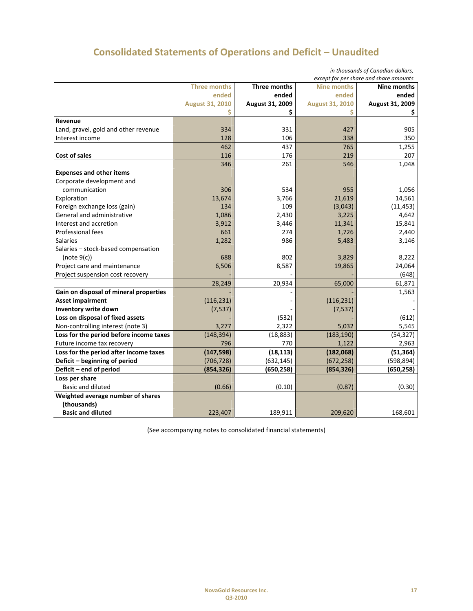# **Consolidated Statements of Operations and Deficit – Unaudited**

|                                         |                        |                 |                        | in thousands of Canadian dollars,<br>except for per share and share amounts |
|-----------------------------------------|------------------------|-----------------|------------------------|-----------------------------------------------------------------------------|
|                                         | <b>Three months</b>    | Three months    | <b>Nine months</b>     | Nine months                                                                 |
|                                         | ended                  | ended           | ended                  | ended                                                                       |
|                                         | <b>August 31, 2010</b> | August 31, 2009 | <b>August 31, 2010</b> | August 31, 2009                                                             |
|                                         |                        | \$              | Ś                      | Ş                                                                           |
| Revenue                                 |                        |                 |                        |                                                                             |
| Land, gravel, gold and other revenue    | 334                    | 331             | 427                    | 905                                                                         |
| Interest income                         | 128                    | 106             | 338                    | 350                                                                         |
|                                         | 462                    | 437             | 765                    | 1,255                                                                       |
| Cost of sales                           | 116                    | 176             | 219                    | 207                                                                         |
|                                         | 346                    | 261             | 546                    | 1,048                                                                       |
| <b>Expenses and other items</b>         |                        |                 |                        |                                                                             |
| Corporate development and               |                        |                 |                        |                                                                             |
| communication                           | 306                    | 534             | 955                    | 1,056                                                                       |
| Exploration                             | 13,674                 | 3,766           | 21,619                 | 14,561                                                                      |
| Foreign exchange loss (gain)            | 134                    | 109             | (3,043)                | (11, 453)                                                                   |
| General and administrative              | 1,086                  | 2,430           | 3,225                  | 4,642                                                                       |
| Interest and accretion                  | 3,912                  | 3,446           | 11,341                 | 15,841                                                                      |
| Professional fees                       | 661                    | 274             | 1,726                  | 2,440                                                                       |
| <b>Salaries</b>                         | 1,282                  | 986             | 5,483                  | 3,146                                                                       |
| Salaries - stock-based compensation     |                        |                 |                        |                                                                             |
| (note 9(c))                             | 688                    | 802             | 3,829                  | 8,222                                                                       |
| Project care and maintenance            | 6,506                  | 8,587           | 19,865                 | 24,064                                                                      |
| Project suspension cost recovery        |                        |                 |                        | (648)                                                                       |
|                                         | 28,249                 | 20,934          | 65,000                 | 61,871                                                                      |
| Gain on disposal of mineral properties  |                        |                 |                        | 1,563                                                                       |
| <b>Asset impairment</b>                 | (116, 231)             |                 | (116, 231)             |                                                                             |
| Inventory write down                    | (7, 537)               |                 | (7, 537)               |                                                                             |
| Loss on disposal of fixed assets        |                        | (532)           |                        | (612)                                                                       |
| Non-controlling interest (note 3)       | 3,277                  | 2,322           | 5,032                  | 5,545                                                                       |
| Loss for the period before income taxes | (148, 394)             | (18, 883)       | (183, 190)             | (54, 327)                                                                   |
| Future income tax recovery              | 796                    | 770             | 1,122                  | 2,963                                                                       |
| Loss for the period after income taxes  | (147, 598)             | (18, 113)       | (182,068)              | (51, 364)                                                                   |
| Deficit - beginning of period           | (706, 728)             | (632, 145)      | (672, 258)             | (598, 894)                                                                  |
| Deficit - end of period                 | (854, 326)             | (650, 258)      | (854, 326)             | (650, 258)                                                                  |
| Loss per share                          |                        |                 |                        |                                                                             |
| <b>Basic and diluted</b>                | (0.66)                 | (0.10)          | (0.87)                 | (0.30)                                                                      |
| Weighted average number of shares       |                        |                 |                        |                                                                             |
| (thousands)                             |                        |                 |                        |                                                                             |
| <b>Basic and diluted</b>                | 223,407                | 189,911         | 209,620                | 168,601                                                                     |

(See accompanying notes to consolidated financial statements)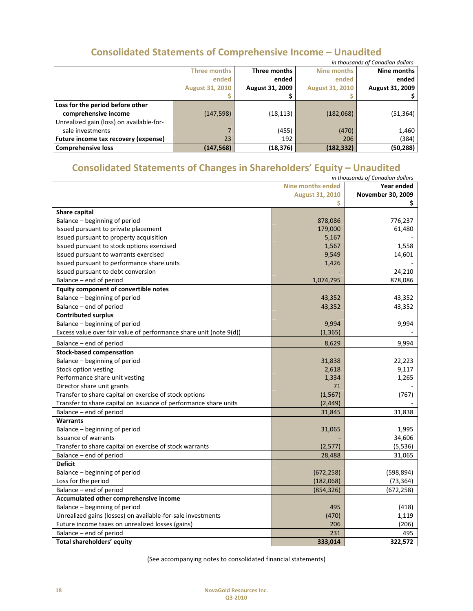# **Consolidated Statements of Comprehensive Income – Unaudited**

| in thousands of Canadian dollars         |                        |                        |                        |                        |
|------------------------------------------|------------------------|------------------------|------------------------|------------------------|
|                                          | Three months           | Three months           | Nine months            | Nine months            |
|                                          | ended                  | ended                  | ended                  | ended                  |
|                                          | <b>August 31, 2010</b> | <b>August 31, 2009</b> | <b>August 31, 2010</b> | <b>August 31, 2009</b> |
|                                          |                        |                        |                        |                        |
| Loss for the period before other         |                        |                        |                        |                        |
| comprehensive income                     | (147, 598)             | (18, 113)              | (182,068)              | (51, 364)              |
| Unrealized gain (loss) on available-for- |                        |                        |                        |                        |
| sale investments                         |                        | (455)                  | (470)                  | 1,460                  |
| Future income tax recovery (expense)     | 23                     | 192                    | 206                    | (384)                  |
| <b>Comprehensive loss</b>                | (147,568)              | (18, 376)              | (182, 332)             | (50, 288)              |

# **Consolidated Statements of Changes in Shareholders' Equity – Unaudited**

| <b>Nine months ended</b><br>Year ended<br><b>August 31, 2010</b><br>November 30, 2009<br>Ś<br>\$.<br>Share capital<br>Balance – beginning of period<br>878,086<br>776,237<br>Issued pursuant to private placement<br>179,000<br>61,480<br>5,167<br>Issued pursuant to property acquisition<br>Issued pursuant to stock options exercised<br>1,558<br>1,567<br>Issued pursuant to warrants exercised<br>9,549<br>14,601<br>Issued pursuant to performance share units<br>1,426<br>Issued pursuant to debt conversion<br>24,210<br>Balance – end of period<br>1,074,795<br>878,086<br>Equity component of convertible notes<br>Balance - beginning of period<br>43,352<br>43,352<br>Balance - end of period<br>43,352<br>43,352<br><b>Contributed surplus</b><br>Balance - beginning of period<br>9,994<br>9,994<br>Excess value over fair value of performance share unit (note 9(d))<br>(1, 365)<br>8,629<br>Balance - end of period<br>9,994<br><b>Stock-based compensation</b><br>Balance – beginning of period<br>31,838<br>22,223<br>Stock option vesting<br>2,618<br>9,117<br>Performance share unit vesting<br>1,265<br>1,334<br>Director share unit grants<br>71<br>Transfer to share capital on exercise of stock options<br>(1, 567)<br>(767)<br>Transfer to share capital on issuance of performance share units<br>(2, 449)<br>Balance - end of period<br>31,845<br>31,838<br><b>Warrants</b><br>Balance - beginning of period<br>31,065<br>1,995<br><b>Issuance of warrants</b><br>34,606<br>Transfer to share capital on exercise of stock warrants<br>(2, 577)<br>(5, 536)<br>Balance – end of period<br>28,488<br>31,065<br><b>Deficit</b><br>(598, 894)<br>Balance - beginning of period<br>(672, 258)<br>Loss for the period<br>(182,068)<br>(73, 364)<br>(672, 258)<br>Balance – end of period<br>(854, 326)<br>Accumulated other comprehensive income<br>Balance - beginning of period<br>495<br>(418)<br>Unrealized gains (losses) on available-for-sale investments<br>(470)<br>1,119<br>206<br>(206)<br>Future income taxes on unrealized losses (gains)<br>Balance - end of period<br>231<br>495 |                            |         | in thousands of Canadian dollars |
|-------------------------------------------------------------------------------------------------------------------------------------------------------------------------------------------------------------------------------------------------------------------------------------------------------------------------------------------------------------------------------------------------------------------------------------------------------------------------------------------------------------------------------------------------------------------------------------------------------------------------------------------------------------------------------------------------------------------------------------------------------------------------------------------------------------------------------------------------------------------------------------------------------------------------------------------------------------------------------------------------------------------------------------------------------------------------------------------------------------------------------------------------------------------------------------------------------------------------------------------------------------------------------------------------------------------------------------------------------------------------------------------------------------------------------------------------------------------------------------------------------------------------------------------------------------------------------------------------------------------------------------------------------------------------------------------------------------------------------------------------------------------------------------------------------------------------------------------------------------------------------------------------------------------------------------------------------------------------------------------------------------------------------------------------------------------------------------------------------------------------|----------------------------|---------|----------------------------------|
|                                                                                                                                                                                                                                                                                                                                                                                                                                                                                                                                                                                                                                                                                                                                                                                                                                                                                                                                                                                                                                                                                                                                                                                                                                                                                                                                                                                                                                                                                                                                                                                                                                                                                                                                                                                                                                                                                                                                                                                                                                                                                                                         |                            |         |                                  |
|                                                                                                                                                                                                                                                                                                                                                                                                                                                                                                                                                                                                                                                                                                                                                                                                                                                                                                                                                                                                                                                                                                                                                                                                                                                                                                                                                                                                                                                                                                                                                                                                                                                                                                                                                                                                                                                                                                                                                                                                                                                                                                                         |                            |         |                                  |
|                                                                                                                                                                                                                                                                                                                                                                                                                                                                                                                                                                                                                                                                                                                                                                                                                                                                                                                                                                                                                                                                                                                                                                                                                                                                                                                                                                                                                                                                                                                                                                                                                                                                                                                                                                                                                                                                                                                                                                                                                                                                                                                         |                            |         |                                  |
|                                                                                                                                                                                                                                                                                                                                                                                                                                                                                                                                                                                                                                                                                                                                                                                                                                                                                                                                                                                                                                                                                                                                                                                                                                                                                                                                                                                                                                                                                                                                                                                                                                                                                                                                                                                                                                                                                                                                                                                                                                                                                                                         |                            |         |                                  |
|                                                                                                                                                                                                                                                                                                                                                                                                                                                                                                                                                                                                                                                                                                                                                                                                                                                                                                                                                                                                                                                                                                                                                                                                                                                                                                                                                                                                                                                                                                                                                                                                                                                                                                                                                                                                                                                                                                                                                                                                                                                                                                                         |                            |         |                                  |
|                                                                                                                                                                                                                                                                                                                                                                                                                                                                                                                                                                                                                                                                                                                                                                                                                                                                                                                                                                                                                                                                                                                                                                                                                                                                                                                                                                                                                                                                                                                                                                                                                                                                                                                                                                                                                                                                                                                                                                                                                                                                                                                         |                            |         |                                  |
|                                                                                                                                                                                                                                                                                                                                                                                                                                                                                                                                                                                                                                                                                                                                                                                                                                                                                                                                                                                                                                                                                                                                                                                                                                                                                                                                                                                                                                                                                                                                                                                                                                                                                                                                                                                                                                                                                                                                                                                                                                                                                                                         |                            |         |                                  |
|                                                                                                                                                                                                                                                                                                                                                                                                                                                                                                                                                                                                                                                                                                                                                                                                                                                                                                                                                                                                                                                                                                                                                                                                                                                                                                                                                                                                                                                                                                                                                                                                                                                                                                                                                                                                                                                                                                                                                                                                                                                                                                                         |                            |         |                                  |
|                                                                                                                                                                                                                                                                                                                                                                                                                                                                                                                                                                                                                                                                                                                                                                                                                                                                                                                                                                                                                                                                                                                                                                                                                                                                                                                                                                                                                                                                                                                                                                                                                                                                                                                                                                                                                                                                                                                                                                                                                                                                                                                         |                            |         |                                  |
|                                                                                                                                                                                                                                                                                                                                                                                                                                                                                                                                                                                                                                                                                                                                                                                                                                                                                                                                                                                                                                                                                                                                                                                                                                                                                                                                                                                                                                                                                                                                                                                                                                                                                                                                                                                                                                                                                                                                                                                                                                                                                                                         |                            |         |                                  |
|                                                                                                                                                                                                                                                                                                                                                                                                                                                                                                                                                                                                                                                                                                                                                                                                                                                                                                                                                                                                                                                                                                                                                                                                                                                                                                                                                                                                                                                                                                                                                                                                                                                                                                                                                                                                                                                                                                                                                                                                                                                                                                                         |                            |         |                                  |
|                                                                                                                                                                                                                                                                                                                                                                                                                                                                                                                                                                                                                                                                                                                                                                                                                                                                                                                                                                                                                                                                                                                                                                                                                                                                                                                                                                                                                                                                                                                                                                                                                                                                                                                                                                                                                                                                                                                                                                                                                                                                                                                         |                            |         |                                  |
|                                                                                                                                                                                                                                                                                                                                                                                                                                                                                                                                                                                                                                                                                                                                                                                                                                                                                                                                                                                                                                                                                                                                                                                                                                                                                                                                                                                                                                                                                                                                                                                                                                                                                                                                                                                                                                                                                                                                                                                                                                                                                                                         |                            |         |                                  |
|                                                                                                                                                                                                                                                                                                                                                                                                                                                                                                                                                                                                                                                                                                                                                                                                                                                                                                                                                                                                                                                                                                                                                                                                                                                                                                                                                                                                                                                                                                                                                                                                                                                                                                                                                                                                                                                                                                                                                                                                                                                                                                                         |                            |         |                                  |
|                                                                                                                                                                                                                                                                                                                                                                                                                                                                                                                                                                                                                                                                                                                                                                                                                                                                                                                                                                                                                                                                                                                                                                                                                                                                                                                                                                                                                                                                                                                                                                                                                                                                                                                                                                                                                                                                                                                                                                                                                                                                                                                         |                            |         |                                  |
|                                                                                                                                                                                                                                                                                                                                                                                                                                                                                                                                                                                                                                                                                                                                                                                                                                                                                                                                                                                                                                                                                                                                                                                                                                                                                                                                                                                                                                                                                                                                                                                                                                                                                                                                                                                                                                                                                                                                                                                                                                                                                                                         |                            |         |                                  |
|                                                                                                                                                                                                                                                                                                                                                                                                                                                                                                                                                                                                                                                                                                                                                                                                                                                                                                                                                                                                                                                                                                                                                                                                                                                                                                                                                                                                                                                                                                                                                                                                                                                                                                                                                                                                                                                                                                                                                                                                                                                                                                                         |                            |         |                                  |
|                                                                                                                                                                                                                                                                                                                                                                                                                                                                                                                                                                                                                                                                                                                                                                                                                                                                                                                                                                                                                                                                                                                                                                                                                                                                                                                                                                                                                                                                                                                                                                                                                                                                                                                                                                                                                                                                                                                                                                                                                                                                                                                         |                            |         |                                  |
|                                                                                                                                                                                                                                                                                                                                                                                                                                                                                                                                                                                                                                                                                                                                                                                                                                                                                                                                                                                                                                                                                                                                                                                                                                                                                                                                                                                                                                                                                                                                                                                                                                                                                                                                                                                                                                                                                                                                                                                                                                                                                                                         |                            |         |                                  |
|                                                                                                                                                                                                                                                                                                                                                                                                                                                                                                                                                                                                                                                                                                                                                                                                                                                                                                                                                                                                                                                                                                                                                                                                                                                                                                                                                                                                                                                                                                                                                                                                                                                                                                                                                                                                                                                                                                                                                                                                                                                                                                                         |                            |         |                                  |
|                                                                                                                                                                                                                                                                                                                                                                                                                                                                                                                                                                                                                                                                                                                                                                                                                                                                                                                                                                                                                                                                                                                                                                                                                                                                                                                                                                                                                                                                                                                                                                                                                                                                                                                                                                                                                                                                                                                                                                                                                                                                                                                         |                            |         |                                  |
|                                                                                                                                                                                                                                                                                                                                                                                                                                                                                                                                                                                                                                                                                                                                                                                                                                                                                                                                                                                                                                                                                                                                                                                                                                                                                                                                                                                                                                                                                                                                                                                                                                                                                                                                                                                                                                                                                                                                                                                                                                                                                                                         |                            |         |                                  |
|                                                                                                                                                                                                                                                                                                                                                                                                                                                                                                                                                                                                                                                                                                                                                                                                                                                                                                                                                                                                                                                                                                                                                                                                                                                                                                                                                                                                                                                                                                                                                                                                                                                                                                                                                                                                                                                                                                                                                                                                                                                                                                                         |                            |         |                                  |
|                                                                                                                                                                                                                                                                                                                                                                                                                                                                                                                                                                                                                                                                                                                                                                                                                                                                                                                                                                                                                                                                                                                                                                                                                                                                                                                                                                                                                                                                                                                                                                                                                                                                                                                                                                                                                                                                                                                                                                                                                                                                                                                         |                            |         |                                  |
|                                                                                                                                                                                                                                                                                                                                                                                                                                                                                                                                                                                                                                                                                                                                                                                                                                                                                                                                                                                                                                                                                                                                                                                                                                                                                                                                                                                                                                                                                                                                                                                                                                                                                                                                                                                                                                                                                                                                                                                                                                                                                                                         |                            |         |                                  |
|                                                                                                                                                                                                                                                                                                                                                                                                                                                                                                                                                                                                                                                                                                                                                                                                                                                                                                                                                                                                                                                                                                                                                                                                                                                                                                                                                                                                                                                                                                                                                                                                                                                                                                                                                                                                                                                                                                                                                                                                                                                                                                                         |                            |         |                                  |
|                                                                                                                                                                                                                                                                                                                                                                                                                                                                                                                                                                                                                                                                                                                                                                                                                                                                                                                                                                                                                                                                                                                                                                                                                                                                                                                                                                                                                                                                                                                                                                                                                                                                                                                                                                                                                                                                                                                                                                                                                                                                                                                         |                            |         |                                  |
|                                                                                                                                                                                                                                                                                                                                                                                                                                                                                                                                                                                                                                                                                                                                                                                                                                                                                                                                                                                                                                                                                                                                                                                                                                                                                                                                                                                                                                                                                                                                                                                                                                                                                                                                                                                                                                                                                                                                                                                                                                                                                                                         |                            |         |                                  |
|                                                                                                                                                                                                                                                                                                                                                                                                                                                                                                                                                                                                                                                                                                                                                                                                                                                                                                                                                                                                                                                                                                                                                                                                                                                                                                                                                                                                                                                                                                                                                                                                                                                                                                                                                                                                                                                                                                                                                                                                                                                                                                                         |                            |         |                                  |
|                                                                                                                                                                                                                                                                                                                                                                                                                                                                                                                                                                                                                                                                                                                                                                                                                                                                                                                                                                                                                                                                                                                                                                                                                                                                                                                                                                                                                                                                                                                                                                                                                                                                                                                                                                                                                                                                                                                                                                                                                                                                                                                         |                            |         |                                  |
|                                                                                                                                                                                                                                                                                                                                                                                                                                                                                                                                                                                                                                                                                                                                                                                                                                                                                                                                                                                                                                                                                                                                                                                                                                                                                                                                                                                                                                                                                                                                                                                                                                                                                                                                                                                                                                                                                                                                                                                                                                                                                                                         |                            |         |                                  |
|                                                                                                                                                                                                                                                                                                                                                                                                                                                                                                                                                                                                                                                                                                                                                                                                                                                                                                                                                                                                                                                                                                                                                                                                                                                                                                                                                                                                                                                                                                                                                                                                                                                                                                                                                                                                                                                                                                                                                                                                                                                                                                                         |                            |         |                                  |
|                                                                                                                                                                                                                                                                                                                                                                                                                                                                                                                                                                                                                                                                                                                                                                                                                                                                                                                                                                                                                                                                                                                                                                                                                                                                                                                                                                                                                                                                                                                                                                                                                                                                                                                                                                                                                                                                                                                                                                                                                                                                                                                         |                            |         |                                  |
|                                                                                                                                                                                                                                                                                                                                                                                                                                                                                                                                                                                                                                                                                                                                                                                                                                                                                                                                                                                                                                                                                                                                                                                                                                                                                                                                                                                                                                                                                                                                                                                                                                                                                                                                                                                                                                                                                                                                                                                                                                                                                                                         |                            |         |                                  |
|                                                                                                                                                                                                                                                                                                                                                                                                                                                                                                                                                                                                                                                                                                                                                                                                                                                                                                                                                                                                                                                                                                                                                                                                                                                                                                                                                                                                                                                                                                                                                                                                                                                                                                                                                                                                                                                                                                                                                                                                                                                                                                                         |                            |         |                                  |
|                                                                                                                                                                                                                                                                                                                                                                                                                                                                                                                                                                                                                                                                                                                                                                                                                                                                                                                                                                                                                                                                                                                                                                                                                                                                                                                                                                                                                                                                                                                                                                                                                                                                                                                                                                                                                                                                                                                                                                                                                                                                                                                         |                            |         |                                  |
|                                                                                                                                                                                                                                                                                                                                                                                                                                                                                                                                                                                                                                                                                                                                                                                                                                                                                                                                                                                                                                                                                                                                                                                                                                                                                                                                                                                                                                                                                                                                                                                                                                                                                                                                                                                                                                                                                                                                                                                                                                                                                                                         |                            |         |                                  |
|                                                                                                                                                                                                                                                                                                                                                                                                                                                                                                                                                                                                                                                                                                                                                                                                                                                                                                                                                                                                                                                                                                                                                                                                                                                                                                                                                                                                                                                                                                                                                                                                                                                                                                                                                                                                                                                                                                                                                                                                                                                                                                                         |                            |         |                                  |
|                                                                                                                                                                                                                                                                                                                                                                                                                                                                                                                                                                                                                                                                                                                                                                                                                                                                                                                                                                                                                                                                                                                                                                                                                                                                                                                                                                                                                                                                                                                                                                                                                                                                                                                                                                                                                                                                                                                                                                                                                                                                                                                         |                            |         |                                  |
|                                                                                                                                                                                                                                                                                                                                                                                                                                                                                                                                                                                                                                                                                                                                                                                                                                                                                                                                                                                                                                                                                                                                                                                                                                                                                                                                                                                                                                                                                                                                                                                                                                                                                                                                                                                                                                                                                                                                                                                                                                                                                                                         |                            |         |                                  |
|                                                                                                                                                                                                                                                                                                                                                                                                                                                                                                                                                                                                                                                                                                                                                                                                                                                                                                                                                                                                                                                                                                                                                                                                                                                                                                                                                                                                                                                                                                                                                                                                                                                                                                                                                                                                                                                                                                                                                                                                                                                                                                                         |                            |         |                                  |
|                                                                                                                                                                                                                                                                                                                                                                                                                                                                                                                                                                                                                                                                                                                                                                                                                                                                                                                                                                                                                                                                                                                                                                                                                                                                                                                                                                                                                                                                                                                                                                                                                                                                                                                                                                                                                                                                                                                                                                                                                                                                                                                         | Total shareholders' equity | 333,014 | 322,572                          |

(See accompanying notes to consolidated financial statements)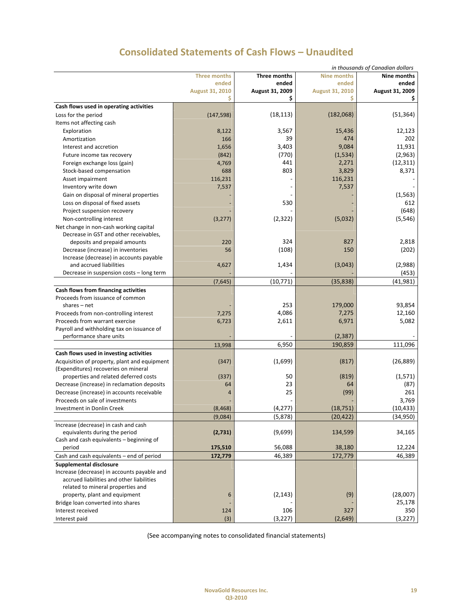|                                                                                      |                        |                      |                    | in thousands of Canadian dollars |
|--------------------------------------------------------------------------------------|------------------------|----------------------|--------------------|----------------------------------|
|                                                                                      | <b>Three months</b>    | Three months         | <b>Nine months</b> | Nine months                      |
|                                                                                      | ended                  | ended                | ended              | ended                            |
|                                                                                      | <b>August 31, 2010</b> | August 31, 2009<br>Ś | August 31, 2010    | August 31, 2009                  |
| Cash flows used in operating activities                                              |                        |                      |                    |                                  |
| Loss for the period                                                                  | (147, 598)             | (18, 113)            | (182,068)          | (51, 364)                        |
| Items not affecting cash                                                             |                        |                      |                    |                                  |
| Exploration                                                                          | 8,122                  | 3,567                | 15,436             | 12,123                           |
| Amortization                                                                         | 166                    | 39                   | 474                | 202                              |
| Interest and accretion                                                               | 1,656                  | 3,403                | 9,084              | 11,931                           |
| Future income tax recovery                                                           | (842)                  | (770)                | (1,534)            | (2,963)                          |
|                                                                                      | 4,769                  | 441                  | 2,271              | (12, 311)                        |
| Foreign exchange loss (gain)                                                         | 688                    | 803                  |                    |                                  |
| Stock-based compensation                                                             |                        |                      | 3,829<br>116,231   | 8,371                            |
| Asset impairment                                                                     | 116,231                |                      |                    |                                  |
| Inventory write down                                                                 | 7,537                  |                      | 7,537              |                                  |
| Gain on disposal of mineral properties                                               |                        |                      |                    | (1, 563)                         |
| Loss on disposal of fixed assets                                                     |                        | 530                  |                    | 612                              |
| Project suspension recovery                                                          |                        |                      |                    | (648)                            |
| Non-controlling interest                                                             | (3, 277)               | (2, 322)             | (5,032)            | (5, 546)                         |
| Net change in non-cash working capital                                               |                        |                      |                    |                                  |
| Decrease in GST and other receivables,                                               |                        |                      |                    |                                  |
| deposits and prepaid amounts                                                         | 220                    | 324                  | 827                | 2,818                            |
| Decrease (increase) in inventories                                                   | 56                     | (108)                | 150                | (202)                            |
| Increase (decrease) in accounts payable                                              |                        |                      |                    |                                  |
| and accrued liabilities<br>Decrease in suspension costs - long term                  | 4,627                  | 1,434                | (3,043)            | (2,988)                          |
|                                                                                      |                        |                      |                    | (453)                            |
|                                                                                      | (7,645)                | (10, 771)            | (35, 838)          | (41, 981)                        |
| Cash flows from financing activities                                                 |                        |                      |                    |                                  |
| Proceeds from issuance of common                                                     |                        |                      |                    |                                  |
| shares $-$ net                                                                       |                        | 253                  | 179,000            | 93,854                           |
| Proceeds from non-controlling interest                                               | 7,275                  | 4,086                | 7,275              | 12,160                           |
| Proceeds from warrant exercise                                                       | 6,723                  | 2,611                | 6,971              | 5,082                            |
| Payroll and withholding tax on issuance of<br>performance share units                |                        |                      | (2, 387)           |                                  |
|                                                                                      |                        | 6,950                |                    | 111,096                          |
|                                                                                      | 13,998                 |                      | 190,859            |                                  |
| Cash flows used in investing activities                                              |                        |                      |                    | (26, 889)                        |
| Acquisition of property, plant and equipment<br>(Expenditures) recoveries on mineral | (347)                  | (1,699)              | (817)              |                                  |
| properties and related deferred costs                                                | (337)                  | 50                   | (819)              | (1, 571)                         |
| Decrease (increase) in reclamation deposits                                          | 64                     | 23                   | 64                 | (87)                             |
| Decrease (increase) in accounts receivable                                           | 4                      | 25                   | (99)               | 261                              |
| Proceeds on sale of investments                                                      |                        |                      |                    | 3,769                            |
| Investment in Donlin Creek                                                           | (8, 468)               | (4,277)              | (18, 751)          | (10, 433)                        |
|                                                                                      | (9,084)                | (5,878)              | (20, 422)          | (34,950)                         |
| Increase (decrease) in cash and cash                                                 |                        |                      |                    |                                  |
| equivalents during the period                                                        | (2,731)                | (9,699)              | 134,599            | 34,165                           |
| Cash and cash equivalents - beginning of                                             |                        |                      |                    |                                  |
| period                                                                               | 175,510                | 56,088               | 38,180             | 12,224                           |
| Cash and cash equivalents - end of period                                            | 172,779                | 46,389               | 172,779            | 46,389                           |
| Supplemental disclosure                                                              |                        |                      |                    |                                  |
| Increase (decrease) in accounts payable and                                          |                        |                      |                    |                                  |
| accrued liabilities and other liabilities                                            |                        |                      |                    |                                  |
| related to mineral properties and                                                    |                        |                      |                    |                                  |
| property, plant and equipment                                                        | 6                      | (2, 143)             | (9)                | (28,007)                         |
| Bridge loan converted into shares                                                    |                        |                      |                    | 25,178                           |
| Interest received                                                                    | 124                    | 106                  | 327                | 350                              |
| Interest paid                                                                        | (3)                    | (3, 227)             | (2,649)            | (3, 227)                         |
|                                                                                      |                        |                      |                    |                                  |

# **Consolidated Statements of Cash Flows – Unaudited**

(See accompanying notes to consolidated financial statements)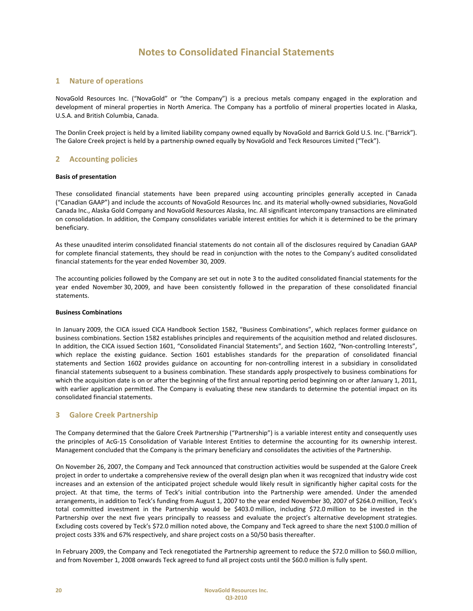## **1 Nature of operations**

NovaGold Resources Inc. ("NovaGold" or "the Company") is a precious metals company engaged in the exploration and development of mineral properties in North America. The Company has a portfolio of mineral properties located in Alaska, U.S.A. and British Columbia, Canada.

The Donlin Creek project is held by a limited liability company owned equally by NovaGold and Barrick Gold U.S. Inc. ("Barrick"). The Galore Creek project is held by a partnership owned equally by NovaGold and Teck Resources Limited ("Teck").

## **2 Accounting policies**

#### **Basis of presentation**

These consolidated financial statements have been prepared using accounting principles generally accepted in Canada ("Canadian GAAP") and include the accounts of NovaGold Resources Inc. and its material wholly‐owned subsidiaries, NovaGold Canada Inc., Alaska Gold Company and NovaGold Resources Alaska, Inc. All significant intercompany transactions are eliminated on consolidation. In addition, the Company consolidates variable interest entities for which it is determined to be the primary beneficiary.

As these unaudited interim consolidated financial statements do not contain all of the disclosures required by Canadian GAAP for complete financial statements, they should be read in conjunction with the notes to the Company's audited consolidated financial statements for the year ended November 30, 2009.

The accounting policies followed by the Company are set out in note 3 to the audited consolidated financial statements for the year ended November 30, 2009, and have been consistently followed in the preparation of these consolidated financial statements.

#### **Business Combinations**

In January 2009, the CICA issued CICA Handbook Section 1582, "Business Combinations", which replaces former guidance on business combinations. Section 1582 establishes principles and requirements of the acquisition method and related disclosures. In addition, the CICA issued Section 1601, "Consolidated Financial Statements", and Section 1602, "Non-controlling Interests", which replace the existing guidance. Section 1601 establishes standards for the preparation of consolidated financial statements and Section 1602 provides guidance on accounting for non-controlling interest in a subsidiary in consolidated financial statements subsequent to a business combination. These standards apply prospectively to business combinations for which the acquisition date is on or after the beginning of the first annual reporting period beginning on or after January 1, 2011, with earlier application permitted. The Company is evaluating these new standards to determine the potential impact on its consolidated financial statements.

## **3 Galore Creek Partnership**

The Company determined that the Galore Creek Partnership ("Partnership") is a variable interest entity and consequently uses the principles of AcG‐15 Consolidation of Variable Interest Entities to determine the accounting for its ownership interest. Management concluded that the Company is the primary beneficiary and consolidates the activities of the Partnership.

On November 26, 2007, the Company and Teck announced that construction activities would be suspended at the Galore Creek project in order to undertake a comprehensive review of the overall design plan when it was recognized that industry wide cost increases and an extension of the anticipated project schedule would likely result in significantly higher capital costs for the project. At that time, the terms of Teck's initial contribution into the Partnership were amended. Under the amended arrangements, in addition to Teck's funding from August 1, 2007 to the year ended November 30, 2007 of \$264.0 million, Teck's total committed investment in the Partnership would be \$403.0 million, including \$72.0 million to be invested in the Partnership over the next five years principally to reassess and evaluate the project's alternative development strategies. Excluding costs covered by Teck's \$72.0 million noted above, the Company and Teck agreed to share the next \$100.0 million of project costs 33% and 67% respectively, and share project costs on a 50/50 basis thereafter.

In February 2009, the Company and Teck renegotiated the Partnership agreement to reduce the \$72.0 million to \$60.0 million, and from November 1, 2008 onwards Teck agreed to fund all project costs until the \$60.0 million is fully spent.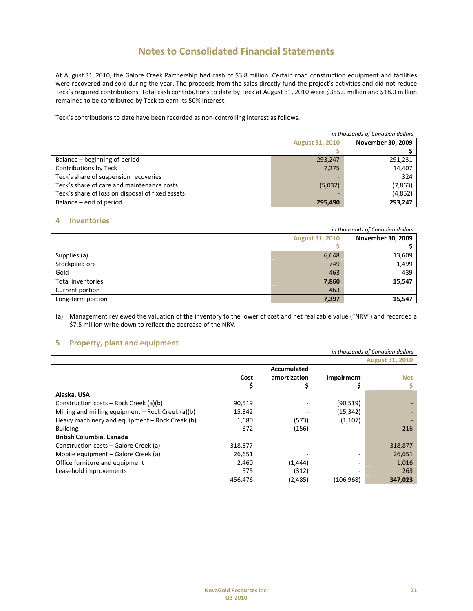At August 31, 2010, the Galore Creek Partnership had cash of \$3.8 million. Certain road construction equipment and facilities were recovered and sold during the year. The proceeds from the sales directly fund the project's activities and did not reduce Teck's required contributions. Total cash contributions to date by Teck at August 31, 2010 were \$355.0 million and \$18.0 million remained to be contributed by Teck to earn its 50% interest.

Teck's contributions to date have been recorded as non‐controlling interest as follows.

| in thousands of Canadian dollars                 |                        |                          |  |
|--------------------------------------------------|------------------------|--------------------------|--|
|                                                  | <b>August 31, 2010</b> | <b>November 30, 2009</b> |  |
|                                                  |                        |                          |  |
| Balance – beginning of period                    | 293,247                | 291,231                  |  |
| Contributions by Teck                            | 7,275                  | 14,407                   |  |
| Teck's share of suspension recoveries            |                        | 324                      |  |
| Teck's share of care and maintenance costs       | (5,032)                | (7, 863)                 |  |
| Teck's share of loss on disposal of fixed assets |                        | (4,852)                  |  |
| Balance – end of period                          | 295.490                | 293,247                  |  |

## **4 Inventories**

|                   | in thousands of Canadian dollars |        |  |  |  |  |  |
|-------------------|----------------------------------|--------|--|--|--|--|--|
|                   | <b>August 31, 2010</b>           |        |  |  |  |  |  |
|                   |                                  |        |  |  |  |  |  |
| Supplies (a)      | 6,648                            | 13,609 |  |  |  |  |  |
| Stockpiled ore    | 749                              | 1,499  |  |  |  |  |  |
| Gold              | 463                              | 439    |  |  |  |  |  |
| Total inventories | 7,860                            | 15,547 |  |  |  |  |  |
| Current portion   | 463                              |        |  |  |  |  |  |
| Long-term portion | 7,397                            | 15,547 |  |  |  |  |  |

(a) Management reviewed the valuation of the inventory to the lower of cost and net realizable value ("NRV") and recorded a \$7.5 million write down to reflect the decrease of the NRV.

# **5 Property, plant and equipment**

| -<br>in thousands of Canadian dollars              |             |              |            |            |  |  |  |  |  |  |
|----------------------------------------------------|-------------|--------------|------------|------------|--|--|--|--|--|--|
| <b>August 31, 2010</b>                             |             |              |            |            |  |  |  |  |  |  |
|                                                    | Accumulated |              |            |            |  |  |  |  |  |  |
|                                                    | Cost        | amortization | Impairment | <b>Net</b> |  |  |  |  |  |  |
|                                                    |             |              |            |            |  |  |  |  |  |  |
| Alaska, USA                                        |             |              |            |            |  |  |  |  |  |  |
| Construction costs – Rock Creek (a)(b)             | 90,519      |              | (90, 519)  |            |  |  |  |  |  |  |
| Mining and milling equipment $-$ Rock Creek (a)(b) | 15,342      |              | (15, 342)  |            |  |  |  |  |  |  |
| Heavy machinery and equipment – Rock Creek (b)     | 1,680       | (573)        | (1, 107)   |            |  |  |  |  |  |  |
| <b>Building</b>                                    | 372         | (156)        |            | 216        |  |  |  |  |  |  |
| <b>British Columbia, Canada</b>                    |             |              |            |            |  |  |  |  |  |  |
| Construction costs – Galore Creek (a)              | 318,877     |              |            | 318,877    |  |  |  |  |  |  |
| Mobile equipment – Galore Creek (a)                | 26,651      |              |            | 26,651     |  |  |  |  |  |  |
| Office furniture and equipment                     | 2,460       | (1, 444)     |            | 1,016      |  |  |  |  |  |  |
| Leasehold improvements                             | 575         | (312)        |            | 263        |  |  |  |  |  |  |
|                                                    | 456,476     | (2,485)      | (106, 968) | 347,023    |  |  |  |  |  |  |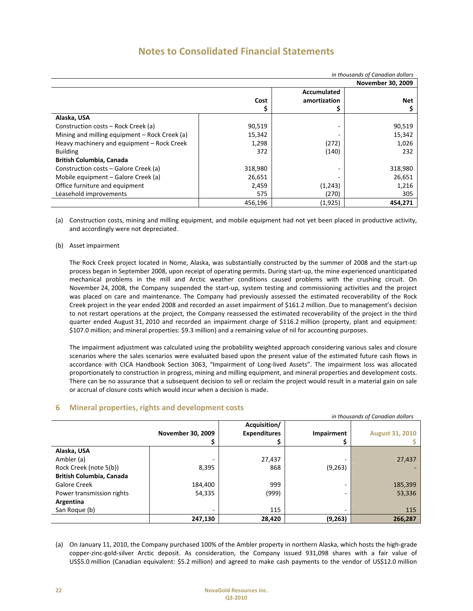| in thousands of Canadian dollars              |         |                          |         |  |  |  |  |  |  |  |
|-----------------------------------------------|---------|--------------------------|---------|--|--|--|--|--|--|--|
|                                               |         | <b>November 30, 2009</b> |         |  |  |  |  |  |  |  |
|                                               |         | Accumulated              |         |  |  |  |  |  |  |  |
|                                               | Cost    | amortization             | Net     |  |  |  |  |  |  |  |
|                                               |         |                          |         |  |  |  |  |  |  |  |
| Alaska, USA                                   |         |                          |         |  |  |  |  |  |  |  |
| Construction costs – Rock Creek (a)           | 90,519  |                          | 90,519  |  |  |  |  |  |  |  |
| Mining and milling equipment – Rock Creek (a) | 15,342  |                          | 15,342  |  |  |  |  |  |  |  |
| Heavy machinery and equipment - Rock Creek    | 1,298   | (272)                    | 1,026   |  |  |  |  |  |  |  |
| <b>Building</b>                               | 372     | (140)                    | 232     |  |  |  |  |  |  |  |
| <b>British Columbia, Canada</b>               |         |                          |         |  |  |  |  |  |  |  |
| Construction costs – Galore Creek (a)         | 318,980 |                          | 318,980 |  |  |  |  |  |  |  |
| Mobile equipment – Galore Creek (a)           | 26,651  |                          | 26,651  |  |  |  |  |  |  |  |
| Office furniture and equipment                | 2,459   | (1,243)                  | 1,216   |  |  |  |  |  |  |  |
| Leasehold improvements                        | 575     | (270)                    | 305     |  |  |  |  |  |  |  |
|                                               | 456,196 | (1, 925)                 | 454.271 |  |  |  |  |  |  |  |

(a) Construction costs, mining and milling equipment, and mobile equipment had not yet been placed in productive activity, and accordingly were not depreciated.

#### (b) Asset impairment

The Rock Creek project located in Nome, Alaska, was substantially constructed by the summer of 2008 and the start‐up process began in September 2008, upon receipt of operating permits. During start‐up, the mine experienced unanticipated mechanical problems in the mill and Arctic weather conditions caused problems with the crushing circuit. On November 24, 2008, the Company suspended the start‐up, system testing and commissioning activities and the project was placed on care and maintenance. The Company had previously assessed the estimated recoverability of the Rock Creek project in the year ended 2008 and recorded an asset impairment of \$161.2 million. Due to management's decision to not restart operations at the project, the Company reassessed the estimated recoverability of the project in the third quarter ended August 31, 2010 and recorded an impairment charge of \$116.2 million (property, plant and equipment: \$107.0 million; and mineral properties: \$9.3 million) and a remaining value of nil for accounting purposes.

The impairment adjustment was calculated using the probability weighted approach considering various sales and closure scenarios where the sales scenarios were evaluated based upon the present value of the estimated future cash flows in accordance with CICA Handbook Section 3063, "Impairment of Long‐lived Assets". The impairment loss was allocated proportionately to construction in progress, mining and milling equipment, and mineral properties and development costs. There can be no assurance that a subsequent decision to sell or reclaim the project would result in a material gain on sale or accrual of closure costs which would incur when a decision is made.

## **6 Mineral properties, rights and development costs**

|                                 | in thousands of Canadian dollars |                     |            |                        |  |  |  |  |  |  |  |  |
|---------------------------------|----------------------------------|---------------------|------------|------------------------|--|--|--|--|--|--|--|--|
|                                 |                                  | Acquisition/        |            |                        |  |  |  |  |  |  |  |  |
|                                 | November 30, 2009                | <b>Expenditures</b> | Impairment | <b>August 31, 2010</b> |  |  |  |  |  |  |  |  |
|                                 |                                  | Ş                   |            |                        |  |  |  |  |  |  |  |  |
| Alaska, USA                     |                                  |                     |            |                        |  |  |  |  |  |  |  |  |
| Ambler (a)                      |                                  | 27,437              |            | 27,437                 |  |  |  |  |  |  |  |  |
| Rock Creek (note 5(b))          | 8,395                            | 868                 | (9, 263)   |                        |  |  |  |  |  |  |  |  |
| <b>British Columbia, Canada</b> |                                  |                     |            |                        |  |  |  |  |  |  |  |  |
| <b>Galore Creek</b>             | 184,400                          | 999                 |            | 185,399                |  |  |  |  |  |  |  |  |
| Power transmission rights       | 54,335                           | (999)               |            | 53,336                 |  |  |  |  |  |  |  |  |
| Argentina                       |                                  |                     |            |                        |  |  |  |  |  |  |  |  |
| San Roque (b)                   |                                  | 115                 | -          | 115                    |  |  |  |  |  |  |  |  |
|                                 | 247,130                          | 28,420              | (9, 263)   | 266,287                |  |  |  |  |  |  |  |  |

(a) On January 11, 2010, the Company purchased 100% of the Ambler property in northern Alaska, which hosts the high‐grade copper‐zinc‐gold‐silver Arctic deposit. As consideration, the Company issued 931,098 shares with a fair value of US\$5.0 million (Canadian equivalent: \$5.2 million) and agreed to make cash payments to the vendor of US\$12.0 million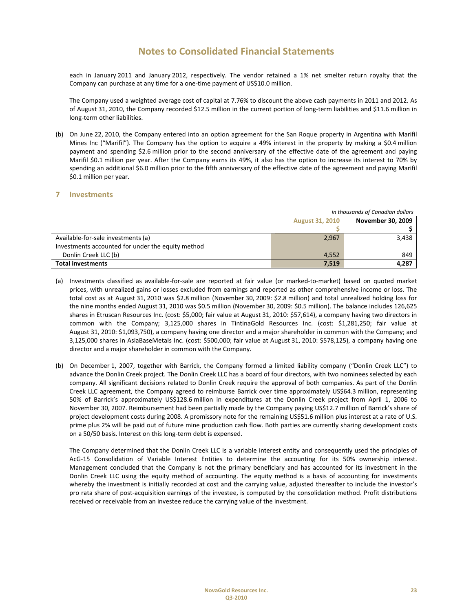each in January 2011 and January 2012, respectively. The vendor retained a 1% net smelter return royalty that the Company can purchase at any time for a one‐time payment of US\$10.0 million.

The Company used a weighted average cost of capital at 7.76% to discount the above cash payments in 2011 and 2012. As of August 31, 2010, the Company recorded \$12.5 million in the current portion of long-term liabilities and \$11.6 million in long‐term other liabilities.

(b) On June 22, 2010, the Company entered into an option agreement for the San Roque property in Argentina with Marifil Mines Inc ("Marifil"). The Company has the option to acquire a 49% interest in the property by making a \$0.4 million payment and spending \$2.6 million prior to the second anniversary of the effective date of the agreement and paying Marifil \$0.1 million per year. After the Company earns its 49%, it also has the option to increase its interest to 70% by spending an additional \$6.0 million prior to the fifth anniversary of the effective date of the agreement and paying Marifil \$0.1 million per year.

## **7 Investments**

|                                                   | in thousands of Canadian dollars |       |  |  |  |  |  |  |
|---------------------------------------------------|----------------------------------|-------|--|--|--|--|--|--|
|                                                   | <b>August 31, 2010</b>           |       |  |  |  |  |  |  |
|                                                   |                                  |       |  |  |  |  |  |  |
| Available-for-sale investments (a)                | 2,967                            | 3,438 |  |  |  |  |  |  |
| Investments accounted for under the equity method |                                  |       |  |  |  |  |  |  |
| Donlin Creek LLC (b)                              | 4,552                            | 849   |  |  |  |  |  |  |
| <b>Total investments</b>                          | 7,519                            | 4,287 |  |  |  |  |  |  |

- (a) Investments classified as available‐for‐sale are reported at fair value (or marked‐to‐market) based on quoted market prices, with unrealized gains or losses excluded from earnings and reported as other comprehensive income or loss. The total cost as at August 31, 2010 was \$2.8 million (November 30, 2009: \$2.8 million) and total unrealized holding loss for the nine months ended August 31, 2010 was \$0.5 million (November 30, 2009: \$0.5 million). The balance includes 126,625 shares in Etruscan Resources Inc. (cost: \$5,000; fair value at August 31, 2010: \$57,614), a company having two directors in common with the Company; 3,125,000 shares in TintinaGold Resources Inc. (cost: \$1,281,250; fair value at August 31, 2010: \$1,093,750), a company having one director and a major shareholder in common with the Company; and 3,125,000 shares in AsiaBaseMetals Inc. (cost: \$500,000; fair value at August 31, 2010: \$578,125), a company having one director and a major shareholder in common with the Company.
- (b) On December 1, 2007, together with Barrick, the Company formed a limited liability company ("Donlin Creek LLC") to advance the Donlin Creek project. The Donlin Creek LLC has a board of four directors, with two nominees selected by each company. All significant decisions related to Donlin Creek require the approval of both companies. As part of the Donlin Creek LLC agreement, the Company agreed to reimburse Barrick over time approximately US\$64.3 million, representing 50% of Barrick's approximately US\$128.6 million in expenditures at the Donlin Creek project from April 1, 2006 to November 30, 2007. Reimbursement had been partially made by the Company paying US\$12.7 million of Barrick's share of project development costs during 2008. A promissory note for the remaining US\$51.6 million plus interest at a rate of U.S. prime plus 2% will be paid out of future mine production cash flow. Both parties are currently sharing development costs on a 50/50 basis. Interest on this long-term debt is expensed.

The Company determined that the Donlin Creek LLC is a variable interest entity and consequently used the principles of AcG‐15 Consolidation of Variable Interest Entities to determine the accounting for its 50% ownership interest. Management concluded that the Company is not the primary beneficiary and has accounted for its investment in the Donlin Creek LLC using the equity method of accounting. The equity method is a basis of accounting for investments whereby the investment is initially recorded at cost and the carrying value, adjusted thereafter to include the investor's pro rata share of post‐acquisition earnings of the investee, is computed by the consolidation method. Profit distributions received or receivable from an investee reduce the carrying value of the investment.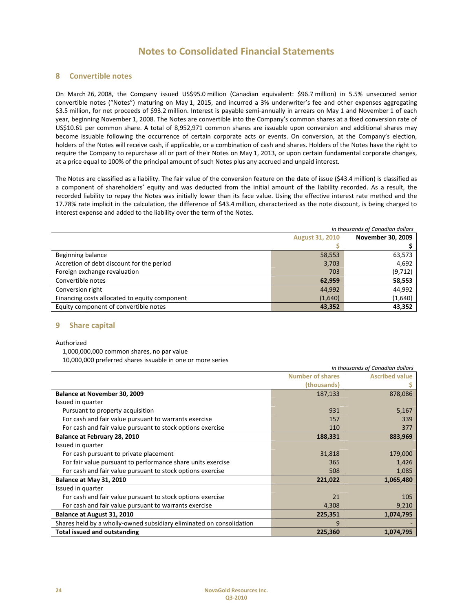## **8 Convertible notes**

On March 26, 2008, the Company issued US\$95.0 million (Canadian equivalent: \$96.7 million) in 5.5% unsecured senior convertible notes ("Notes") maturing on May 1, 2015, and incurred a 3% underwriter's fee and other expenses aggregating \$3.5 million, for net proceeds of \$93.2 million. Interest is payable semi-annually in arrears on May 1 and November 1 of each year, beginning November 1, 2008. The Notes are convertible into the Company's common shares at a fixed conversion rate of US\$10.61 per common share. A total of 8,952,971 common shares are issuable upon conversion and additional shares may become issuable following the occurrence of certain corporate acts or events. On conversion, at the Company's election, holders of the Notes will receive cash, if applicable, or a combination of cash and shares. Holders of the Notes have the right to require the Company to repurchase all or part of their Notes on May 1, 2013, or upon certain fundamental corporate changes, at a price equal to 100% of the principal amount of such Notes plus any accrued and unpaid interest.

The Notes are classified as a liability. The fair value of the conversion feature on the date of issue (\$43.4 million) is classified as a component of shareholders' equity and was deducted from the initial amount of the liability recorded. As a result, the recorded liability to repay the Notes was initially lower than its face value. Using the effective interest rate method and the 17.78% rate implicit in the calculation, the difference of \$43.4 million, characterized as the note discount, is being charged to interest expense and added to the liability over the term of the Notes.

| in thousands of Canadian dollars              |                        |                   |  |  |  |  |  |  |  |
|-----------------------------------------------|------------------------|-------------------|--|--|--|--|--|--|--|
|                                               | <b>August 31, 2010</b> | November 30, 2009 |  |  |  |  |  |  |  |
|                                               |                        |                   |  |  |  |  |  |  |  |
| Beginning balance                             | 58,553                 | 63,573            |  |  |  |  |  |  |  |
| Accretion of debt discount for the period     | 3,703                  | 4,692             |  |  |  |  |  |  |  |
| Foreign exchange revaluation                  | 703                    | (9, 712)          |  |  |  |  |  |  |  |
| Convertible notes                             | 62,959                 | 58,553            |  |  |  |  |  |  |  |
| Conversion right                              | 44,992                 | 44,992            |  |  |  |  |  |  |  |
| Financing costs allocated to equity component | (1,640)                | (1,640)           |  |  |  |  |  |  |  |
| Equity component of convertible notes         | 43,352                 | 43,352            |  |  |  |  |  |  |  |

## **9 Share capital**

Authorized

1,000,000,000 common shares, no par value 10,000,000 preferred shares issuable in one or more series

| in thousands of Canadian dollars                                     |                       |           |  |  |  |  |  |  |
|----------------------------------------------------------------------|-----------------------|-----------|--|--|--|--|--|--|
|                                                                      | <b>Ascribed value</b> |           |  |  |  |  |  |  |
|                                                                      |                       |           |  |  |  |  |  |  |
| Balance at November 30, 2009                                         | 187,133               | 878,086   |  |  |  |  |  |  |
| Issued in quarter                                                    |                       |           |  |  |  |  |  |  |
| Pursuant to property acquisition                                     | 931                   | 5,167     |  |  |  |  |  |  |
| For cash and fair value pursuant to warrants exercise                | 157                   | 339       |  |  |  |  |  |  |
| For cash and fair value pursuant to stock options exercise           | 110                   | 377       |  |  |  |  |  |  |
| Balance at February 28, 2010                                         | 188,331               | 883,969   |  |  |  |  |  |  |
| Issued in quarter                                                    |                       |           |  |  |  |  |  |  |
| For cash pursuant to private placement                               | 31,818                | 179,000   |  |  |  |  |  |  |
| For fair value pursuant to performance share units exercise          | 365                   | 1,426     |  |  |  |  |  |  |
| For cash and fair value pursuant to stock options exercise           | 508                   | 1,085     |  |  |  |  |  |  |
| Balance at May 31, 2010                                              | 221,022               | 1,065,480 |  |  |  |  |  |  |
| Issued in quarter                                                    |                       |           |  |  |  |  |  |  |
| For cash and fair value pursuant to stock options exercise           | 21                    | 105       |  |  |  |  |  |  |
| For cash and fair value pursuant to warrants exercise                | 4,308                 | 9,210     |  |  |  |  |  |  |
| Balance at August 31, 2010                                           | 225,351               | 1,074,795 |  |  |  |  |  |  |
| Shares held by a wholly-owned subsidiary eliminated on consolidation | 9                     |           |  |  |  |  |  |  |
| <b>Total issued and outstanding</b>                                  | 225,360               | 1,074,795 |  |  |  |  |  |  |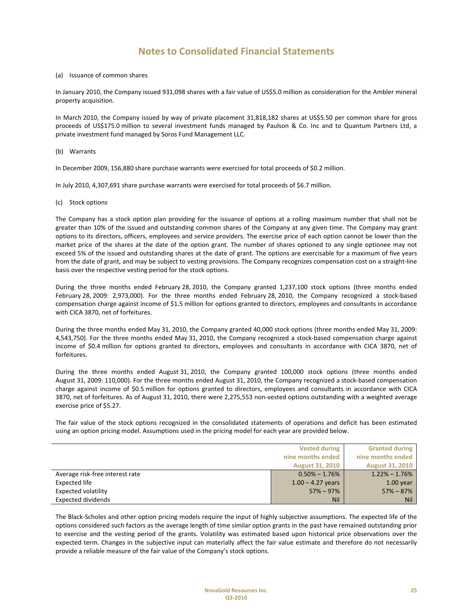#### (a) Issuance of common shares

In January 2010, the Company issued 931,098 shares with a fair value of US\$5.0 million as consideration for the Ambler mineral property acquisition.

In March 2010, the Company issued by way of private placement 31,818,182 shares at US\$5.50 per common share for gross proceeds of US\$175.0 million to several investment funds managed by Paulson & Co. Inc and to Quantum Partners Ltd, a private investment fund managed by Soros Fund Management LLC.

(b) Warrants

In December 2009, 156,880 share purchase warrants were exercised for total proceeds of \$0.2 million.

In July 2010, 4,307,691 share purchase warrants were exercised for total proceeds of \$6.7 million.

(c) Stock options

The Company has a stock option plan providing for the issuance of options at a rolling maximum number that shall not be greater than 10% of the issued and outstanding common shares of the Company at any given time. The Company may grant options to its directors, officers, employees and service providers. The exercise price of each option cannot be lower than the market price of the shares at the date of the option grant. The number of shares optioned to any single optionee may not exceed 5% of the issued and outstanding shares at the date of grant. The options are exercisable for a maximum of five years from the date of grant, and may be subject to vesting provisions. The Company recognizes compensation cost on a straight‐line basis over the respective vesting period for the stock options.

During the three months ended February 28, 2010, the Company granted 1,237,100 stock options (three months ended February 28, 2009: 2,973,000). For the three months ended February 28, 2010, the Company recognized a stock‐based compensation charge against income of \$1.5 million for options granted to directors, employees and consultants in accordance with CICA 3870, net of forfeitures.

During the three months ended May 31, 2010, the Company granted 40,000 stock options (three months ended May 31, 2009: 4,543,750). For the three months ended May 31, 2010, the Company recognized a stock‐based compensation charge against income of \$0.4 million for options granted to directors, employees and consultants in accordance with CICA 3870, net of forfeitures.

During the three months ended August 31, 2010, the Company granted 100,000 stock options (three months ended August 31, 2009: 110,000). For the three months ended August 31, 2010, the Company recognized a stock‐based compensation charge against income of \$0.5 million for options granted to directors, employees and consultants in accordance with CICA 3870, net of forfeitures. As of August 31, 2010, there were 2,275,553 non‐vested options outstanding with a weighted average exercise price of \$5.27.

The fair value of the stock options recognized in the consolidated statements of operations and deficit has been estimated using an option pricing model. Assumptions used in the pricing model for each year are provided below.

|                                 | <b>Vested during</b>   | <b>Granted during</b>  |
|---------------------------------|------------------------|------------------------|
|                                 | nine months ended      | nine months ended      |
|                                 | <b>August 31, 2010</b> | <b>August 31, 2010</b> |
| Average risk-free interest rate | $0.50\% - 1.76\%$      | $1.22\% - 1.76\%$      |
| <b>Expected life</b>            | $1.00 - 4.27$ years    | $1.00$ year            |
| <b>Expected volatility</b>      | $57\% - 97\%$          | $57\% - 87\%$          |
| <b>Expected dividends</b>       | Nil                    | <b>Nil</b>             |

The Black‐Scholes and other option pricing models require the input of highly subjective assumptions. The expected life of the options considered such factors as the average length of time similar option grants in the past have remained outstanding prior to exercise and the vesting period of the grants. Volatility was estimated based upon historical price observations over the expected term. Changes in the subjective input can materially affect the fair value estimate and therefore do not necessarily provide a reliable measure of the fair value of the Company's stock options.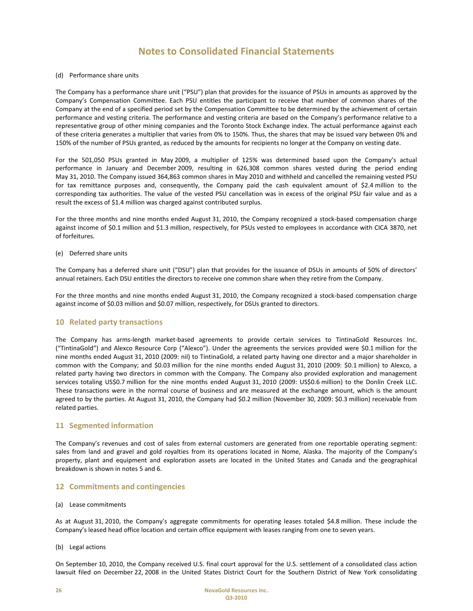### (d) Performance share units

The Company has a performance share unit ("PSU") plan that provides for the issuance of PSUs in amounts as approved by the Company's Compensation Committee. Each PSU entitles the participant to receive that number of common shares of the Company at the end of a specified period set by the Compensation Committee to be determined by the achievement of certain performance and vesting criteria. The performance and vesting criteria are based on the Company's performance relative to a representative group of other mining companies and the Toronto Stock Exchange index. The actual performance against each of these criteria generates a multiplier that varies from 0% to 150%. Thus, the shares that may be issued vary between 0% and 150% of the number of PSUs granted, as reduced by the amounts for recipients no longer at the Company on vesting date.

For the 501,050 PSUs granted in May 2009, a multiplier of 125% was determined based upon the Company's actual performance in January and December 2009, resulting in 626,308 common shares vested during the period ending May 31, 2010. The Company issued 364,863 common shares in May 2010 and withheld and cancelled the remaining vested PSU for tax remittance purposes and, consequently, the Company paid the cash equivalent amount of \$2.4 million to the corresponding tax authorities. The value of the vested PSU cancellation was in excess of the original PSU fair value and as a result the excess of \$1.4 million was charged against contributed surplus.

For the three months and nine months ended August 31, 2010, the Company recognized a stock-based compensation charge against income of \$0.1 million and \$1.3 million, respectively, for PSUs vested to employees in accordance with CICA 3870, net of forfeitures.

### (e) Deferred share units

The Company has a deferred share unit ("DSU") plan that provides for the issuance of DSUs in amounts of 50% of directors' annual retainers. Each DSU entitles the directors to receive one common share when they retire from the Company.

For the three months and nine months ended August 31, 2010, the Company recognized a stock-based compensation charge against income of \$0.03 million and \$0.07 million, respectively, for DSUs granted to directors.

## **10 Related party transactions**

The Company has arms‐length market‐based agreements to provide certain services to TintinaGold Resources Inc. ("TintinaGold") and Alexco Resource Corp ("Alexco"). Under the agreements the services provided were \$0.1 million for the nine months ended August 31, 2010 (2009: nil) to TintinaGold, a related party having one director and a major shareholder in common with the Company; and \$0.03 million for the nine months ended August 31, 2010 (2009: \$0.1 million) to Alexco, a related party having two directors in common with the Company. The Company also provided exploration and management services totaling US\$0.7 million for the nine months ended August 31, 2010 (2009: US\$0.6 million) to the Donlin Creek LLC. These transactions were in the normal course of business and are measured at the exchange amount, which is the amount agreed to by the parties. At August 31, 2010, the Company had \$0.2 million (November 30, 2009: \$0.3 million) receivable from related parties.

## **11 Segmented information**

The Company's revenues and cost of sales from external customers are generated from one reportable operating segment: sales from land and gravel and gold royalties from its operations located in Nome, Alaska. The majority of the Company's property, plant and equipment and exploration assets are located in the United States and Canada and the geographical breakdown is shown in notes 5 and 6.

#### **12 Commitments and contingencies**

#### (a) Lease commitments

As at August 31, 2010, the Company's aggregate commitments for operating leases totaled \$4.8 million. These include the Company's leased head office location and certain office equipment with leases ranging from one to seven years.

(b) Legal actions

On September 10, 2010, the Company received U.S. final court approval for the U.S. settlement of a consolidated class action lawsuit filed on December 22, 2008 in the United States District Court for the Southern District of New York consolidating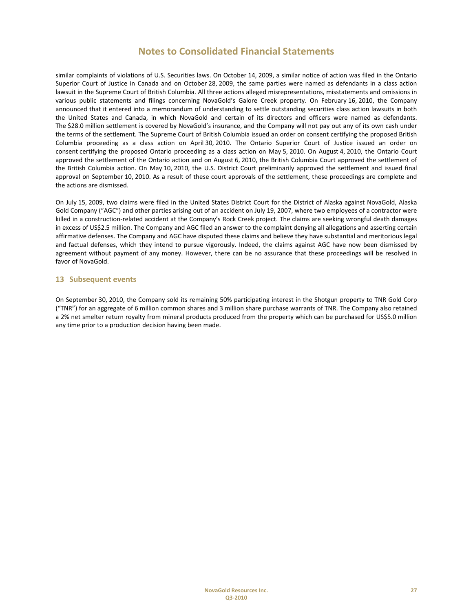similar complaints of violations of U.S. Securities laws. On October 14, 2009, a similar notice of action was filed in the Ontario Superior Court of Justice in Canada and on October 28, 2009, the same parties were named as defendants in a class action lawsuit in the Supreme Court of British Columbia. All three actions alleged misrepresentations, misstatements and omissions in various public statements and filings concerning NovaGold's Galore Creek property. On February 16, 2010, the Company announced that it entered into a memorandum of understanding to settle outstanding securities class action lawsuits in both the United States and Canada, in which NovaGold and certain of its directors and officers were named as defendants. The \$28.0 million settlement is covered by NovaGold's insurance, and the Company will not pay out any of its own cash under the terms of the settlement. The Supreme Court of British Columbia issued an order on consent certifying the proposed British Columbia proceeding as a class action on April 30, 2010. The Ontario Superior Court of Justice issued an order on consent certifying the proposed Ontario proceeding as a class action on May 5, 2010. On August 4, 2010, the Ontario Court approved the settlement of the Ontario action and on August 6, 2010, the British Columbia Court approved the settlement of the British Columbia action. On May 10, 2010, the U.S. District Court preliminarily approved the settlement and issued final approval on September 10, 2010. As a result of these court approvals of the settlement, these proceedings are complete and the actions are dismissed.

On July 15, 2009, two claims were filed in the United States District Court for the District of Alaska against NovaGold, Alaska Gold Company ("AGC") and other parties arising out of an accident on July 19, 2007, where two employees of a contractor were killed in a construction-related accident at the Company's Rock Creek project. The claims are seeking wrongful death damages in excess of US\$2.5 million. The Company and AGC filed an answer to the complaint denying all allegations and asserting certain affirmative defenses. The Company and AGC have disputed these claims and believe they have substantial and meritorious legal and factual defenses, which they intend to pursue vigorously. Indeed, the claims against AGC have now been dismissed by agreement without payment of any money. However, there can be no assurance that these proceedings will be resolved in favor of NovaGold.

## **13 Subsequent events**

On September 30, 2010, the Company sold its remaining 50% participating interest in the Shotgun property to TNR Gold Corp ("TNR") for an aggregate of 6 million common shares and 3 million share purchase warrants of TNR. The Company also retained a 2% net smelter return royalty from mineral products produced from the property which can be purchased for US\$5.0 million any time prior to a production decision having been made.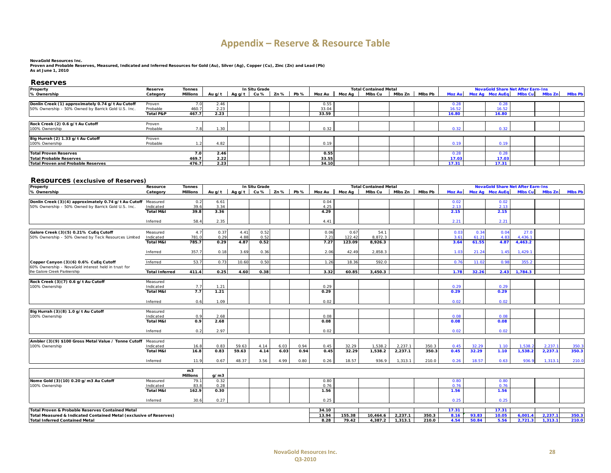# **Appendix – Reserve & Resource Table**

#### **NovaGold Resources Inc.**

**Proven and Probable Reserves, Measured, Indicated and Inferred Resources for Gold (Au), Silver (Ag), Copper (Cu), Zinc (Zn) and Lead (Pb) As at June 1, 2010**

#### **Reserves**

| Reserve              | Tonnes   |      |                          |                               | <b>Total Contained Metal</b> |                |          |        |  |       |                   |       |                         |                                                                     |
|----------------------|----------|------|--------------------------|-------------------------------|------------------------------|----------------|----------|--------|--|-------|-------------------|-------|-------------------------|---------------------------------------------------------------------|
| Category             | Millions |      |                          |                               |                              |                | Mlbs Cu  |        |  |       |                   |       |                         |                                                                     |
|                      |          |      |                          |                               |                              |                |          |        |  |       |                   |       |                         |                                                                     |
| Proven               | 7.0      | 2.46 |                          |                               | 0.55                         |                |          |        |  | 0.28  |                   | 0.28  |                         |                                                                     |
| Probable             | 460.7    | 2.23 |                          |                               | 33.04                        |                |          |        |  | 16.52 |                   | 16.52 |                         |                                                                     |
| <b>Total P&amp;P</b> | 467.7    | 2.23 |                          |                               | 33.59                        |                |          |        |  | 16.80 |                   | 16.80 |                         |                                                                     |
|                      |          |      |                          |                               |                              |                |          |        |  |       |                   |       |                         |                                                                     |
| Proven               |          |      |                          |                               |                              |                |          |        |  |       |                   |       |                         |                                                                     |
| Probable             |          | 1.30 |                          |                               | 0.32                         |                |          |        |  | 0.32  |                   | 0.32  |                         |                                                                     |
|                      |          |      |                          |                               |                              |                |          |        |  |       |                   |       |                         |                                                                     |
| Proven               |          |      |                          |                               |                              |                |          |        |  |       |                   |       |                         |                                                                     |
| Probable             |          | 4.82 |                          |                               | 0.19                         |                |          |        |  | 0.19  |                   | 0.19  |                         |                                                                     |
|                      |          |      |                          |                               |                              |                |          |        |  |       |                   |       |                         |                                                                     |
|                      | 7.0      | 2.46 |                          |                               | 0.55                         |                |          |        |  | 0.28  |                   | 0.28  |                         |                                                                     |
|                      | 469.7    |      |                          |                               |                              |                |          |        |  | 17.03 |                   | 17.03 |                         |                                                                     |
|                      | 476.7    |      |                          |                               |                              |                |          |        |  | 17.31 |                   | 17.31 |                         |                                                                     |
|                      |          |      | Au a/t l<br>2.22<br>2.23 | In Situ Grade<br>Agg/t $Cu %$ | Zn% Pb%                      | 33.55<br>34.10 | Moz Au l | Moz Aa |  |       | Mibs Zn   Mibs Pb |       | Moz Au Moz Ag Moz Au Eg | <b>NovaGold Share Net After Earn-Ins</b><br>Mibs Cu Mibs Zn Mibs Pb |

#### **Resources (exclusive of Reserves)**

| Property                                                           | Resource              | <b>Tonnes</b>   | In Situ Grade |        |      |                |      |              | <b>NovaGold Share Net After Earn-Ins</b> |                                         |         |                |               |       |                        |                |         |                |
|--------------------------------------------------------------------|-----------------------|-----------------|---------------|--------|------|----------------|------|--------------|------------------------------------------|-----------------------------------------|---------|----------------|---------------|-------|------------------------|----------------|---------|----------------|
| % Ownership                                                        | Category              | <b>Millions</b> | Au $a/t$      | Ag g/t |      | $Cu\%$ Zn% Pb% |      | Moz Au       | Moz Ag                                   | <b>Total Contained Metal</b><br>Mlbs Cu | Mibs Zn | <b>MIbs Pb</b> | <b>Moz Au</b> |       | <b>Moz Ag Moz AuEg</b> | <b>MIbs Cu</b> | Mlbs Zn | <b>MIbs Pb</b> |
|                                                                    |                       |                 |               |        |      |                |      |              |                                          |                                         |         |                |               |       |                        |                |         |                |
| Donlin Creek (3)(4) approximately 0.74 g/t Au Cutoff Measured      |                       | 0.2             | 6.61          |        |      |                |      | 0.04         |                                          |                                         |         |                | 0.02          |       | 0.02                   |                |         |                |
| 50% Ownership - 50% Owned by Barrick Gold U.S. Inc.                | Indicated             | 39.6            | 3.34          |        |      |                |      | 4.25         |                                          |                                         |         |                | 2.13          |       | 2.13                   |                |         |                |
|                                                                    | <b>Total M&amp;I</b>  | 39.8            | 3.36          |        |      |                |      | 4.29         |                                          |                                         |         |                | 2.15          |       | 2.15                   |                |         |                |
|                                                                    |                       |                 |               |        |      |                |      |              |                                          |                                         |         |                |               |       |                        |                |         |                |
|                                                                    | Inferred              | 58.4            | 2.35          |        |      |                |      | 4.41         |                                          |                                         |         |                | 2.21          |       | 2.21                   |                |         |                |
|                                                                    |                       |                 |               |        |      |                |      |              |                                          |                                         |         |                |               |       |                        |                |         |                |
| Galore Creek (3)(5) 0.21% CuEq Cutoff                              | Measured              | 4.7             | 0.37          | 4.41   | 0.52 |                |      | 0.06         | 0.67                                     | 54.1                                    |         |                | 0.03          | 0.34  | 0.04                   | 27.0           |         |                |
| 50% Ownership - 50% Owned by Teck Resources Limited                | Indicated             | 781.0           | 0.29          | 4.88   | 0.52 |                |      | 7.21         | 122.42                                   | 8,872.3                                 |         |                | 3.61          | 61.21 | 4.83                   | 4,436.1        |         |                |
|                                                                    | <b>Total M&amp;I</b>  | 785.7           | 0.29          | 4.87   | 0.52 |                |      | 7.27         | 123.09                                   | 8,926.3                                 |         |                | 3.64          | 61.55 | 4.87                   | 4,463.2        |         |                |
|                                                                    | Inferred              | 357.7           | 0.18          | 3.69   | 0.36 |                |      | 2.06         | 42.49                                    | 2,858.3                                 |         |                | 1.03          | 21.24 | 1.45                   | 1,429.1        |         |                |
|                                                                    |                       |                 |               |        |      |                |      |              |                                          |                                         |         |                |               |       |                        |                |         |                |
| Copper Canyon (3)(6) 0.6% CuEq Cutoff                              | Inferred              | 53.7            | 0.73          | 10.60  | 0.50 |                |      | 1.26         | 18.36                                    | 592.0                                   |         |                | 0.76          | 11.02 | 0.98                   | 355.2          |         |                |
| 60% Ownership - NovaGold interest held in trust for                |                       |                 |               |        |      |                |      |              |                                          |                                         |         |                |               |       |                        |                |         |                |
| the Galore Creek Partnership                                       | <b>Total Inferred</b> | 411.4           | 0.25          | 4.60   | 0.38 |                |      | 3.32         | 60.85                                    | 3.450.3                                 |         |                | 1.78          | 32.26 | 2.43                   | 1.784.3        |         |                |
|                                                                    |                       |                 |               |        |      |                |      |              |                                          |                                         |         |                |               |       |                        |                |         |                |
| Rock Creek (3)(7) 0.6 g/t Au Cutoff                                | Measured              |                 |               |        |      |                |      |              |                                          |                                         |         |                |               |       |                        |                |         |                |
| 100% Ownership                                                     | Indicated             | 7.7             | 1.21          |        |      |                |      | 0.29         |                                          |                                         |         |                | 0.29          |       | 0.29                   |                |         |                |
|                                                                    | <b>Total M&amp;I</b>  | 7.7             | 1.21          |        |      |                |      | 0.29         |                                          |                                         |         |                | 0.29          |       | 0.29                   |                |         |                |
|                                                                    | Inferred              | 0.6             | 1.09          |        |      |                |      | 0.02         |                                          |                                         |         |                | 0.02          |       | 0.02                   |                |         |                |
|                                                                    |                       |                 |               |        |      |                |      |              |                                          |                                         |         |                |               |       |                        |                |         |                |
| Big Hurrah (3)(8) 1.0 g/t Au Cutoff                                | Measured              |                 |               |        |      |                |      |              |                                          |                                         |         |                |               |       |                        |                |         |                |
| 100% Ownership                                                     | Indicated             | 0.9             | 2.68          |        |      |                |      | 0.08         |                                          |                                         |         |                | 0.08          |       | 0.08                   |                |         |                |
|                                                                    | <b>Total M&amp;I</b>  | 0.9             | 2.68          |        |      |                |      | 0.08         |                                          |                                         |         |                | 0.08          |       | 0.08                   |                |         |                |
|                                                                    |                       |                 |               |        |      |                |      |              |                                          |                                         |         |                |               |       |                        |                |         |                |
|                                                                    | Inferred              | 0.2             | 2.97          |        |      |                |      | 0.02         |                                          |                                         |         |                | 0.02          |       | 0.02                   |                |         |                |
| Ambler (3)(9) \$100 Gross Metal Value / Tonne Cutoff               | Measured              |                 |               |        |      |                |      |              |                                          |                                         |         |                |               |       |                        |                |         |                |
| 100% Ownership                                                     | Indicated             | 16.8            | 0.83          | 59.63  | 4.14 | 6.03           | 0.94 | 0.45         | 32.29                                    | 1.538.2                                 | 2.237.1 | 350.3          | 0.45          | 32.29 | 1.10                   | 1.538.2        | 2.237.  | 350.3          |
|                                                                    | <b>Total M&amp;I</b>  | 16.8            | 0.83          | 59.63  | 4.14 | 6.03           | 0.94 | 0.45         | 32.29                                    | 1,538.2                                 | 2,237.1 | 350.3          | 0.45          | 32.29 | 1.10                   | 1,538.2        | 2,237.1 | 350.3          |
|                                                                    |                       |                 |               |        |      |                |      |              |                                          |                                         |         |                |               |       |                        |                |         |                |
|                                                                    | Inferred              | 11.9            | 0.67          | 48.37  | 3.56 | 4.99           | 0.80 | 0.26         | 18.57                                    | 936.9                                   | 1.313.1 | 210.0          | 0.26          | 18.57 | 0.63                   | 936.9          | 1.313.1 | 210.0          |
|                                                                    |                       |                 |               |        |      |                |      |              |                                          |                                         |         |                |               |       |                        |                |         |                |
|                                                                    |                       | m3              |               |        |      |                |      |              |                                          |                                         |         |                |               |       |                        |                |         |                |
|                                                                    |                       | <b>Millions</b> | g/m3          |        |      |                |      |              |                                          |                                         |         |                |               |       |                        |                |         |                |
| Nome Gold (3)(10) 0.20 g/m3 Au Cutoff<br>100% Ownership            | Measured              | 79.<br>83.8     | 0.32<br>0.28  |        |      |                |      | 0.80<br>0.76 |                                          |                                         |         |                | 0.80<br>0.76  |       | 0.80<br>0.76           |                |         |                |
|                                                                    | Indicated             |                 | 0.30          |        |      |                |      |              |                                          |                                         |         |                |               |       |                        |                |         |                |
|                                                                    | <b>Total M&amp;I</b>  | 162.9           |               |        |      |                |      | 1.56         |                                          |                                         |         |                | 1.56          |       | 1.56                   |                |         |                |
|                                                                    | Inferred              | 30.6            | 0.27          |        |      |                |      | 0.25         |                                          |                                         |         |                | 0.25          |       | 0.25                   |                |         |                |
|                                                                    |                       |                 |               |        |      |                |      |              |                                          |                                         |         |                |               |       |                        |                |         |                |
| Total Proven & Probable Reserves Contained Metal                   |                       |                 |               |        |      |                |      | 34.10        |                                          |                                         |         |                | 17.31         |       | 17.31                  |                |         |                |
| Total Measured & Indicated Contained Metal (exclusive of Reserves) |                       |                 |               |        |      |                |      | 13.94        | 155.38                                   | 10,464.6                                | 2,237.1 | 350.3          | 8.16          | 93.83 | 10.05                  | 6,001.4        | 2,237.1 | 350.3          |
| <b>Total Inferred Contained Metal</b>                              |                       |                 |               |        |      |                |      | 8.28         | 79.42                                    | 4,387.2                                 | 1,313.1 | 210.0          | 4.54          | 50.84 | 5.56                   | 2.721.3        | 1,313.1 | 210.0          |